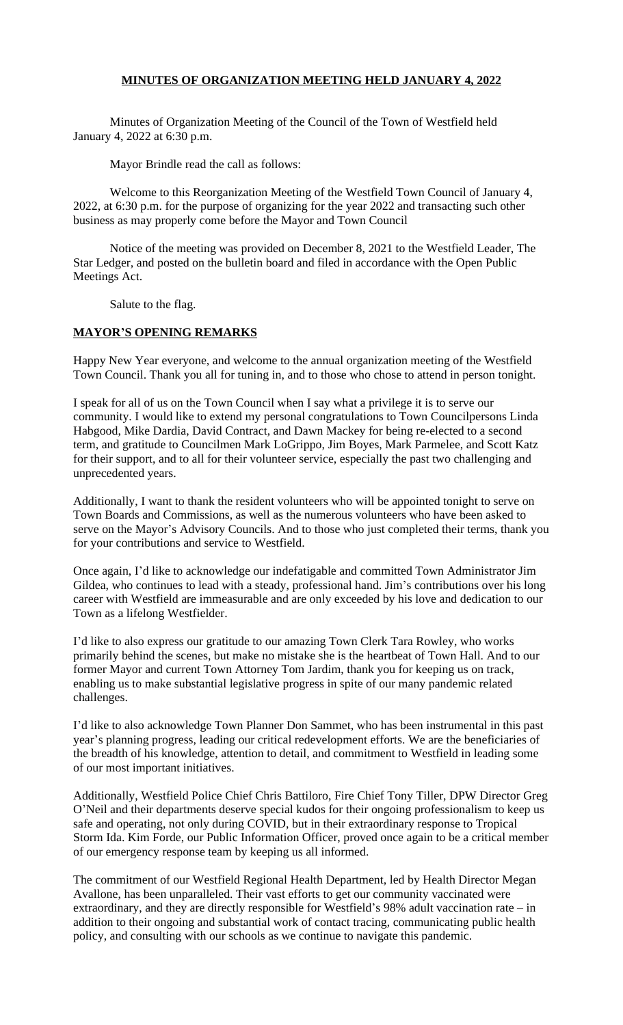## **MINUTES OF ORGANIZATION MEETING HELD JANUARY 4, 2022**

Minutes of Organization Meeting of the Council of the Town of Westfield held January 4, 2022 at 6:30 p.m.

Mayor Brindle read the call as follows:

Welcome to this Reorganization Meeting of the Westfield Town Council of January 4, 2022, at 6:30 p.m. for the purpose of organizing for the year 2022 and transacting such other business as may properly come before the Mayor and Town Council

Notice of the meeting was provided on December 8, 2021 to the Westfield Leader, The Star Ledger, and posted on the bulletin board and filed in accordance with the Open Public Meetings Act.

Salute to the flag.

#### **MAYOR'S OPENING REMARKS**

Happy New Year everyone, and welcome to the annual organization meeting of the Westfield Town Council. Thank you all for tuning in, and to those who chose to attend in person tonight.

I speak for all of us on the Town Council when I say what a privilege it is to serve our community. I would like to extend my personal congratulations to Town Councilpersons Linda Habgood, Mike Dardia, David Contract, and Dawn Mackey for being re-elected to a second term, and gratitude to Councilmen Mark LoGrippo, Jim Boyes, Mark Parmelee, and Scott Katz for their support, and to all for their volunteer service, especially the past two challenging and unprecedented years.

Additionally, I want to thank the resident volunteers who will be appointed tonight to serve on Town Boards and Commissions, as well as the numerous volunteers who have been asked to serve on the Mayor's Advisory Councils. And to those who just completed their terms, thank you for your contributions and service to Westfield.

Once again, I'd like to acknowledge our indefatigable and committed Town Administrator Jim Gildea, who continues to lead with a steady, professional hand. Jim's contributions over his long career with Westfield are immeasurable and are only exceeded by his love and dedication to our Town as a lifelong Westfielder.

I'd like to also express our gratitude to our amazing Town Clerk Tara Rowley, who works primarily behind the scenes, but make no mistake she is the heartbeat of Town Hall. And to our former Mayor and current Town Attorney Tom Jardim, thank you for keeping us on track, enabling us to make substantial legislative progress in spite of our many pandemic related challenges.

I'd like to also acknowledge Town Planner Don Sammet, who has been instrumental in this past year's planning progress, leading our critical redevelopment efforts. We are the beneficiaries of the breadth of his knowledge, attention to detail, and commitment to Westfield in leading some of our most important initiatives.

Additionally, Westfield Police Chief Chris Battiloro, Fire Chief Tony Tiller, DPW Director Greg O'Neil and their departments deserve special kudos for their ongoing professionalism to keep us safe and operating, not only during COVID, but in their extraordinary response to Tropical Storm Ida. Kim Forde, our Public Information Officer, proved once again to be a critical member of our emergency response team by keeping us all informed.

The commitment of our Westfield Regional Health Department, led by Health Director Megan Avallone, has been unparalleled. Their vast efforts to get our community vaccinated were extraordinary, and they are directly responsible for Westfield's 98% adult vaccination rate – in addition to their ongoing and substantial work of contact tracing, communicating public health policy, and consulting with our schools as we continue to navigate this pandemic.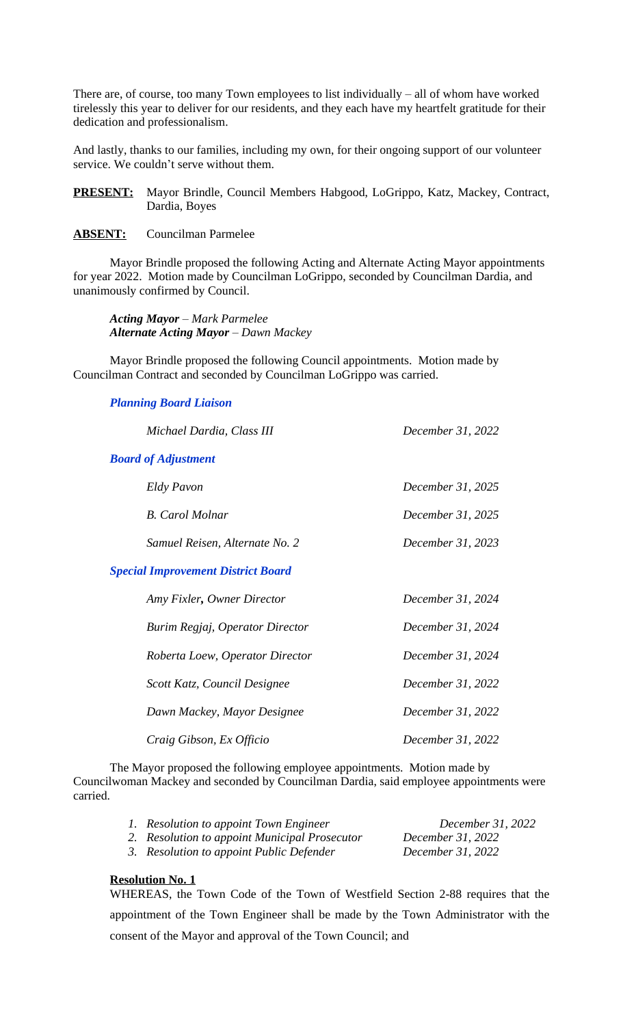There are, of course, too many Town employees to list individually – all of whom have worked tirelessly this year to deliver for our residents, and they each have my heartfelt gratitude for their dedication and professionalism.

And lastly, thanks to our families, including my own, for their ongoing support of our volunteer service. We couldn't serve without them.

**PRESENT:** Mayor Brindle, Council Members Habgood, LoGrippo, Katz, Mackey, Contract, Dardia, Boyes

#### **ABSENT:** Councilman Parmelee

Mayor Brindle proposed the following Acting and Alternate Acting Mayor appointments for year 2022. Motion made by Councilman LoGrippo, seconded by Councilman Dardia, and unanimously confirmed by Council.

*Acting Mayor – Mark Parmelee Alternate Acting Mayor – Dawn Mackey*

Mayor Brindle proposed the following Council appointments. Motion made by Councilman Contract and seconded by Councilman LoGrippo was carried.

## *Planning Board Liaison*

| Michael Dardia, Class III                 | December 31, 2022 |
|-------------------------------------------|-------------------|
| <b>Board of Adjustment</b>                |                   |
| Eldy Pavon                                | December 31, 2025 |
| <b>B.</b> Carol Molnar                    | December 31, 2025 |
| Samuel Reisen, Alternate No. 2            | December 31, 2023 |
| <b>Special Improvement District Board</b> |                   |
| Amy Fixler, Owner Director                | December 31, 2024 |
| Burim Regjaj, Operator Director           | December 31, 2024 |
| Roberta Loew, Operator Director           | December 31, 2024 |
| Scott Katz, Council Designee              | December 31, 2022 |
| Dawn Mackey, Mayor Designee               | December 31, 2022 |
| Craig Gibson, Ex Officio                  | December 31, 2022 |

The Mayor proposed the following employee appointments. Motion made by Councilwoman Mackey and seconded by Councilman Dardia, said employee appointments were carried.

| 1. Resolution to appoint Town Engineer        | December 31, 2022 |
|-----------------------------------------------|-------------------|
| 2. Resolution to appoint Municipal Prosecutor | December 31, 2022 |
| 3. Resolution to appoint Public Defender      | December 31, 2022 |
|                                               |                   |

#### **Resolution No. 1**

WHEREAS, the Town Code of the Town of Westfield Section 2-88 requires that the appointment of the Town Engineer shall be made by the Town Administrator with the consent of the Mayor and approval of the Town Council; and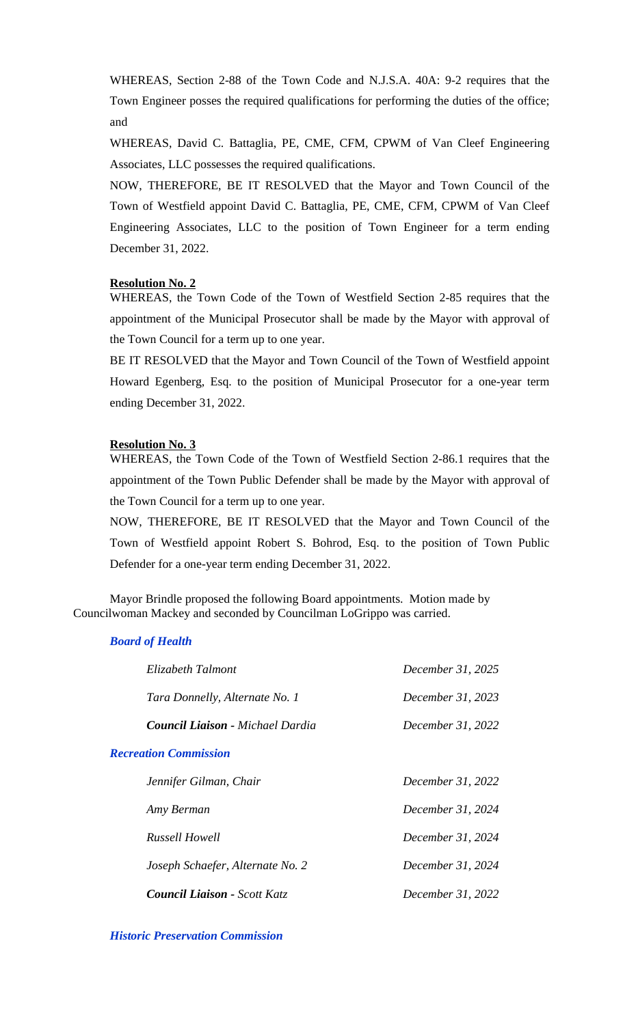WHEREAS, Section 2-88 of the Town Code and N.J.S.A. 40A: 9-2 requires that the Town Engineer posses the required qualifications for performing the duties of the office; and

WHEREAS, David C. Battaglia, PE, CME, CFM, CPWM of Van Cleef Engineering Associates, LLC possesses the required qualifications.

NOW, THEREFORE, BE IT RESOLVED that the Mayor and Town Council of the Town of Westfield appoint David C. Battaglia, PE, CME, CFM, CPWM of Van Cleef Engineering Associates, LLC to the position of Town Engineer for a term ending December 31, 2022.

#### **Resolution No. 2**

WHEREAS, the Town Code of the Town of Westfield Section 2-85 requires that the appointment of the Municipal Prosecutor shall be made by the Mayor with approval of the Town Council for a term up to one year.

BE IT RESOLVED that the Mayor and Town Council of the Town of Westfield appoint Howard Egenberg, Esq. to the position of Municipal Prosecutor for a one-year term ending December 31, 2022.

#### **Resolution No. 3**

WHEREAS, the Town Code of the Town of Westfield Section 2-86.1 requires that the appointment of the Town Public Defender shall be made by the Mayor with approval of the Town Council for a term up to one year.

NOW, THEREFORE, BE IT RESOLVED that the Mayor and Town Council of the Town of Westfield appoint Robert S. Bohrod, Esq. to the position of Town Public Defender for a one-year term ending December 31, 2022.

Mayor Brindle proposed the following Board appointments. Motion made by Councilwoman Mackey and seconded by Councilman LoGrippo was carried.

#### *Board of Health*

| Elizabeth Talmont                       | December 31, 2025 |
|-----------------------------------------|-------------------|
| Tara Donnelly, Alternate No. 1          | December 31, 2023 |
| <b>Council Liaison - Michael Dardia</b> | December 31, 2022 |
| <b>Recreation Commission</b>            |                   |
| Jennifer Gilman, Chair                  | December 31, 2022 |
| Amy Berman                              | December 31, 2024 |
| <b>Russell Howell</b>                   | December 31, 2024 |
| Joseph Schaefer, Alternate No. 2        | December 31, 2024 |
| <b>Council Liaison - Scott Katz</b>     | December 31, 2022 |

#### *Historic Preservation Commission*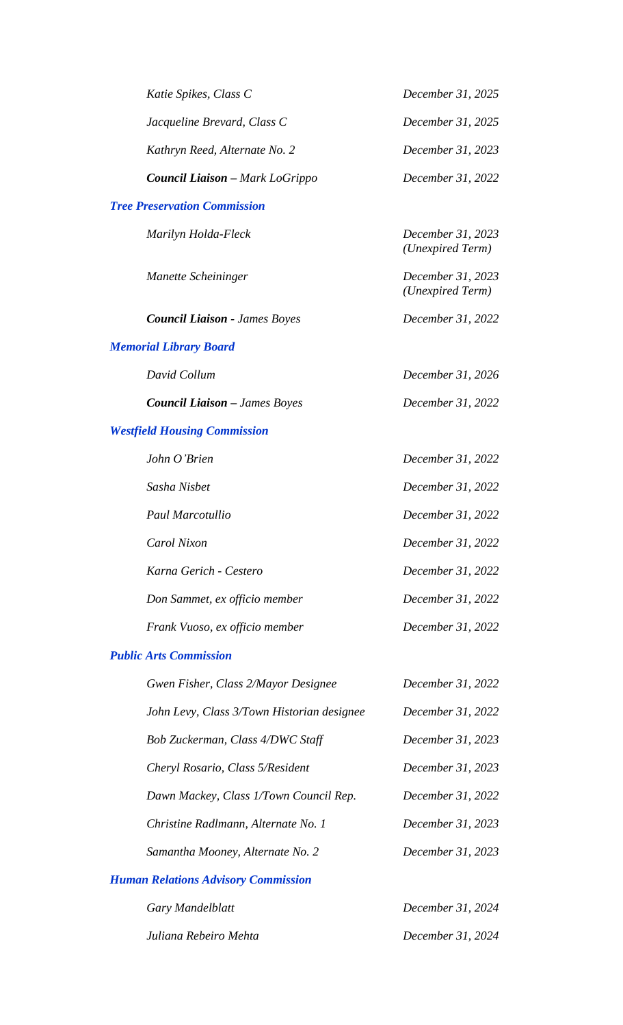| Katie Spikes, Class C                      | December 31, 2025                     |
|--------------------------------------------|---------------------------------------|
| Jacqueline Brevard, Class C                | December 31, 2025                     |
| Kathryn Reed, Alternate No. 2              | December 31, 2023                     |
| <b>Council Liaison</b> – Mark LoGrippo     | December 31, 2022                     |
| <b>Tree Preservation Commission</b>        |                                       |
| Marilyn Holda-Fleck                        | December 31, 2023<br>(Unexpired Term) |
| Manette Scheininger                        | December 31, 2023<br>(Unexpired Term) |
| <b>Council Liaison - James Boyes</b>       | December 31, 2022                     |
| <b>Memorial Library Board</b>              |                                       |
| David Collum                               | December 31, 2026                     |
| <b>Council Liaison - James Boyes</b>       | December 31, 2022                     |
| <b>Westfield Housing Commission</b>        |                                       |
| John O'Brien                               | December 31, 2022                     |
| Sasha Nisbet                               | December 31, 2022                     |
| Paul Marcotullio                           | December 31, 2022                     |
| Carol Nixon                                | December 31, 2022                     |
| Karna Gerich - Cestero                     | December 31, 2022                     |
| Don Sammet, ex officio member              | December 31, 2022                     |
| Frank Vuoso, ex officio member             | December 31, 2022                     |
| <b>Public Arts Commission</b>              |                                       |
| Gwen Fisher, Class 2/Mayor Designee        | December 31, 2022                     |
| John Levy, Class 3/Town Historian designee | December 31, 2022                     |
| Bob Zuckerman, Class 4/DWC Staff           | December 31, 2023                     |
| Cheryl Rosario, Class 5/Resident           | December 31, 2023                     |
| Dawn Mackey, Class 1/Town Council Rep.     | December 31, 2022                     |
| Christine Radlmann, Alternate No. 1        | December 31, 2023                     |
| Samantha Mooney, Alternate No. 2           | December 31, 2023                     |
| <b>Human Relations Advisory Commission</b> |                                       |
| Gary Mandelblatt                           | December 31, 2024                     |

*Juliana Rebeiro Mehta December 31, 2024*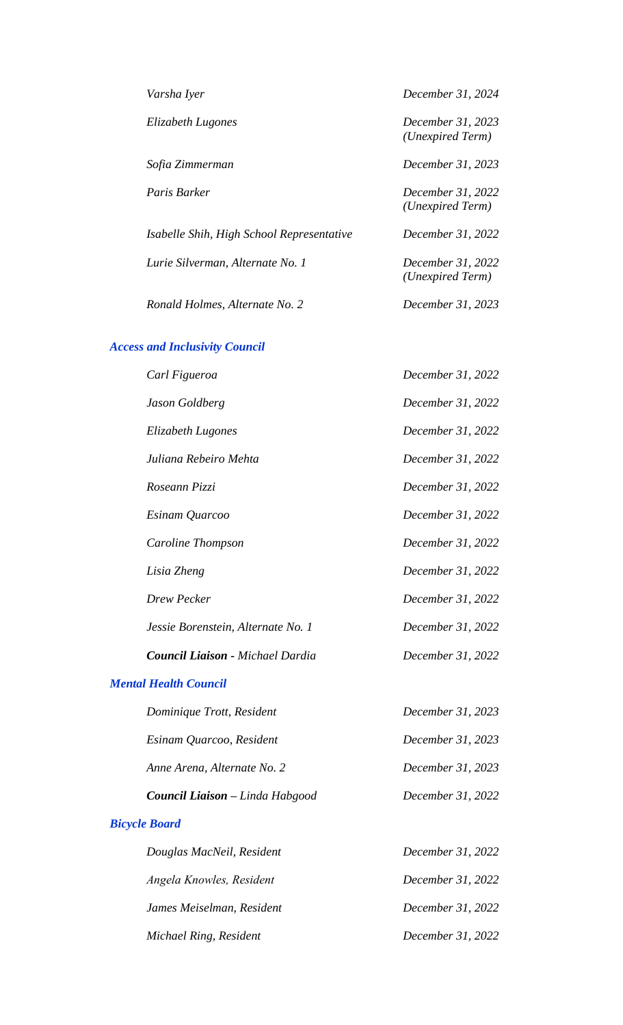| Varsha Iyer                               | December 31, 2024                     |
|-------------------------------------------|---------------------------------------|
| Elizabeth Lugones                         | December 31, 2023<br>(Unexpired Term) |
| Sofia Zimmerman                           | December 31, 2023                     |
| Paris Barker                              | December 31, 2022<br>(Unexpired Term) |
| Isabelle Shih, High School Representative | December 31, 2022                     |
| Lurie Silverman, Alternate No. 1          | December 31, 2022<br>(Unexpired Term) |
| Ronald Holmes, Alternate No. 2            | December 31, 2023                     |

# *Access and Inclusivity Council*

| Carl Figueroa                          | December 31, 2022 |
|----------------------------------------|-------------------|
| Jason Goldberg                         | December 31, 2022 |
| Elizabeth Lugones                      | December 31, 2022 |
| Juliana Rebeiro Mehta                  | December 31, 2022 |
| Roseann Pizzi                          | December 31, 2022 |
| Esinam Quarcoo                         | December 31, 2022 |
| Caroline Thompson                      | December 31, 2022 |
| Lisia Zheng                            | December 31, 2022 |
| Drew Pecker                            | December 31, 2022 |
| Jessie Borenstein, Alternate No. 1     | December 31, 2022 |
| Council Liaison - Michael Dardia       | December 31, 2022 |
| <b>Mental Health Council</b>           |                   |
| Dominique Trott, Resident              | December 31, 2023 |
| Esinam Quarcoo, Resident               | December 31, 2023 |
| Anne Arena, Alternate No. 2            | December 31, 2023 |
| <b>Council Liaison – Linda Habgood</b> | December 31, 2022 |
| <b>Bicycle Board</b>                   |                   |
| Douglas MacNeil, Resident              | December 31, 2022 |
| Angela Knowles, Resident               | December 31, 2022 |
|                                        |                   |

*James Meiselman, Resident December 31, 2022*

*Michael Ring, Resident December 31, 2022*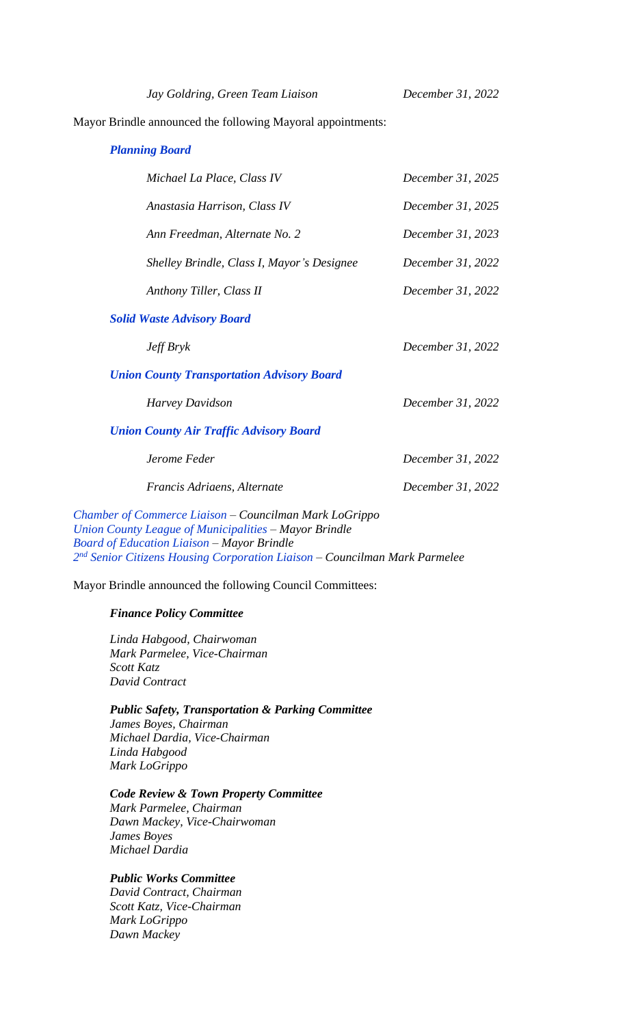*Jay Goldring, Green Team Liaison December 31, 2022*

Mayor Brindle announced the following Mayoral appointments:

| <b>Planning Board</b>                             |                   |
|---------------------------------------------------|-------------------|
| Michael La Place, Class IV                        | December 31, 2025 |
| Anastasia Harrison, Class IV                      | December 31, 2025 |
| Ann Freedman, Alternate No. 2                     | December 31, 2023 |
| Shelley Brindle, Class I, Mayor's Designee        | December 31, 2022 |
| Anthony Tiller, Class II                          | December 31, 2022 |
| <b>Solid Waste Advisory Board</b>                 |                   |
| <b>Jeff Bryk</b>                                  | December 31, 2022 |
| <b>Union County Transportation Advisory Board</b> |                   |
| Harvey Davidson                                   | December 31, 2022 |

#### *Union County Air Traffic Advisory Board*

*Jerome Feder December 31, 2022*

*Francis Adriaens, Alternate December 31, 2022*

*Chamber of Commerce Liaison – Councilman Mark LoGrippo Union County League of Municipalities – Mayor Brindle Board of Education Liaison – Mayor Brindle 2 nd Senior Citizens Housing Corporation Liaison* – *Councilman Mark Parmelee*

Mayor Brindle announced the following Council Committees:

#### *Finance Policy Committee*

*Linda Habgood, Chairwoman Mark Parmelee, Vice-Chairman Scott Katz David Contract*

*Public Safety, Transportation & Parking Committee James Boyes, Chairman Michael Dardia, Vice-Chairman Linda Habgood Mark LoGrippo*

*Code Review & Town Property Committee*

*Mark Parmelee, Chairman Dawn Mackey, Vice-Chairwoman James Boyes Michael Dardia*

## *Public Works Committee*

*David Contract, Chairman Scott Katz, Vice-Chairman Mark LoGrippo Dawn Mackey*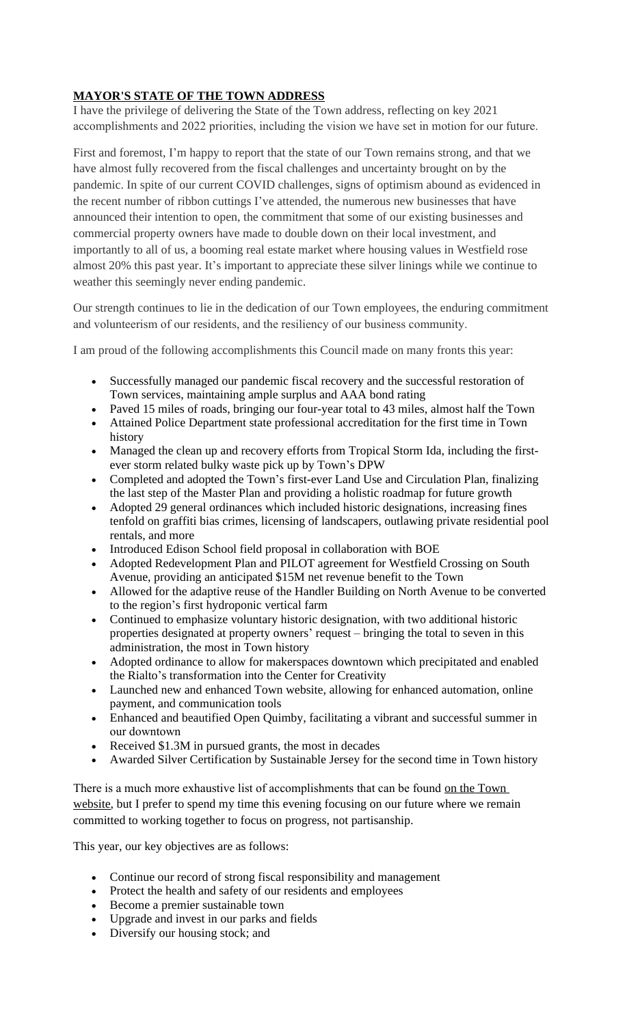announced their intention to open, the commitment that some of our existing businesses and commercial property owners have made to double down on their local investment, and importantly to all of us, a booming real estate market where housing values in Westfield rose almost 20% this past year. It's important to appreciate these silver linings while we continue to weather this seemingly never ending pandemic.

Our strength continues to lie in the dedication of our Town employees, the enduring commitment and volunteerism of our residents, and the resiliency of our business community.

I am proud of the following accomplishments this Council made on many fronts this year:

- Successfully managed our pandemic fiscal recovery and the successful restoration of Town services, maintaining ample surplus and AAA bond rating
- Paved 15 miles of roads, bringing our four-year total to 43 miles, almost half the Town
- Attained Police Department state professional accreditation for the first time in Town history
- Managed the clean up and recovery efforts from Tropical Storm Ida, including the firstever storm related bulky waste pick up by Town's DPW
- Completed and adopted the Town's first-ever Land Use and Circulation Plan, finalizing the last step of the Master Plan and providing a holistic roadmap for future growth
- Adopted 29 general ordinances which included historic designations, increasing fines tenfold on graffiti bias crimes, licensing of landscapers, outlawing private residential pool rentals, and more
- Introduced Edison School field proposal in collaboration with BOE
- Adopted Redevelopment Plan and PILOT agreement for Westfield Crossing on South Avenue, providing an anticipated \$15M net revenue benefit to the Town
- Allowed for the adaptive reuse of the Handler Building on North Avenue to be converted to the region's first hydroponic vertical farm
- Continued to emphasize voluntary historic designation, with two additional historic properties designated at property owners' request – bringing the total to seven in this administration, the most in Town history
- Adopted ordinance to allow for makerspaces downtown which precipitated and enabled the Rialto's transformation into the Center for Creativity
- Launched new and enhanced Town website, allowing for enhanced automation, online payment, and communication tools
- Enhanced and beautified Open Quimby, facilitating a vibrant and successful summer in our downtown
- Received \$1.3M in pursued grants, the most in decades
- Awarded Silver Certification by Sustainable Jersey for the second time in Town history

There is a much more exhaustive list of accomplishments that can be found on the Town website, but I prefer to spend my time this evening focusing on our future where we remain committed to working together to focus on progress, not partisanship.

This year, our key objectives are as follows:

- Continue our record of strong fiscal responsibility and management
- Protect the health and safety of our residents and employees
- Become a premier sustainable town
- Upgrade and invest in our parks and fields
- Diversify our housing stock; and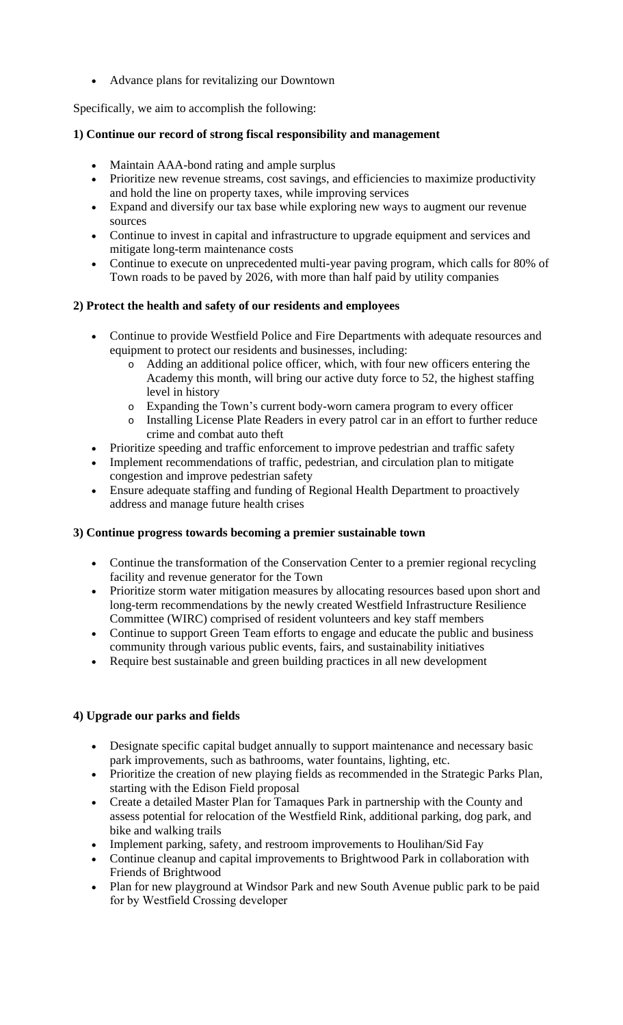Advance plans for revitalizing our Downtown

Specifically, we aim to accomplish the following:

# **1) Continue our record of strong fiscal responsibility and management**

- Maintain AAA-bond rating and ample surplus
- Prioritize new revenue streams, cost savings, and efficiencies to maximize productivity and hold the line on property taxes, while improving services
- Expand and diversify our tax base while exploring new ways to augment our revenue sources
- Continue to invest in capital and infrastructure to upgrade equipment and services and mitigate long-term maintenance costs
- Continue to execute on unprecedented multi-year paving program, which calls for 80% of Town roads to be paved by 2026, with more than half paid by utility companies

# **2) Protect the health and safety of our residents and employees**

- Continue to provide Westfield Police and Fire Departments with adequate resources and equipment to protect our residents and businesses, including:
	- o Adding an additional police officer, which, with four new officers entering the Academy this month, will bring our active duty force to 52, the highest staffing level in history
	- o Expanding the Town's current body-worn camera program to every officer
	- o Installing License Plate Readers in every patrol car in an effort to further reduce crime and combat auto theft
- Prioritize speeding and traffic enforcement to improve pedestrian and traffic safety
- Implement recommendations of traffic, pedestrian, and circulation plan to mitigate congestion and improve pedestrian safety
- Ensure adequate staffing and funding of Regional Health Department to proactively address and manage future health crises

# **3) Continue progress towards becoming a premier sustainable town**

- Continue the transformation of the Conservation Center to a premier regional recycling facility and revenue generator for the Town
- Prioritize storm water mitigation measures by allocating resources based upon short and long-term recommendations by the newly created Westfield Infrastructure Resilience Committee (WIRC) comprised of resident volunteers and key staff members
- Continue to support Green Team efforts to engage and educate the public and business community through various public events, fairs, and sustainability initiatives
- Require best sustainable and green building practices in all new development

# **4) Upgrade our parks and fields**

- Designate specific capital budget annually to support maintenance and necessary basic park improvements, such as bathrooms, water fountains, lighting, etc.
- Prioritize the creation of new playing fields as recommended in the Strategic Parks Plan, starting with the Edison Field proposal
- Create a detailed Master Plan for Tamaques Park in partnership with the County and assess potential for relocation of the Westfield Rink, additional parking, dog park, and bike and walking trails
- Implement parking, safety, and restroom improvements to Houlihan/Sid Fay
- Continue cleanup and capital improvements to Brightwood Park in collaboration with Friends of Brightwood
- Plan for new playground at Windsor Park and new South Avenue public park to be paid for by Westfield Crossing developer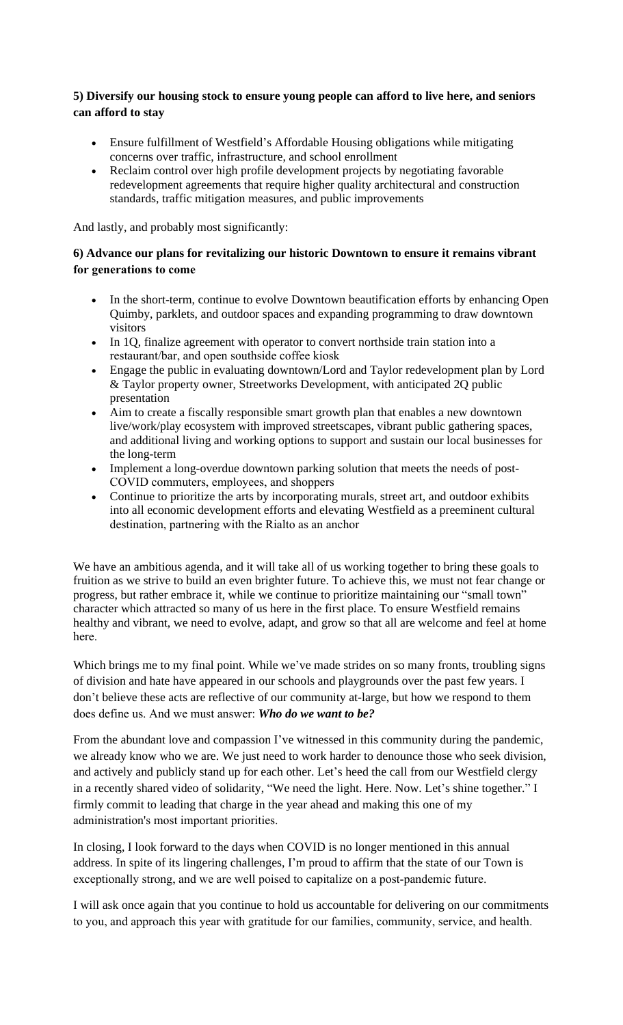# **5) Diversify our housing stock to ensure young people can afford to live here, and seniors can afford to stay**

- Ensure fulfillment of Westfield's Affordable Housing obligations while mitigating concerns over traffic, infrastructure, and school enrollment
- Reclaim control over high profile development projects by negotiating favorable redevelopment agreements that require higher quality architectural and construction standards, traffic mitigation measures, and public improvements

And lastly, and probably most significantly:

# **6) Advance our plans for revitalizing our historic Downtown to ensure it remains vibrant for generations to come**

- In the short-term, continue to evolve Downtown beautification efforts by enhancing Open Quimby, parklets, and outdoor spaces and expanding programming to draw downtown visitors
- In 1Q, finalize agreement with operator to convert northside train station into a restaurant/bar, and open southside coffee kiosk
- Engage the public in evaluating downtown/Lord and Taylor redevelopment plan by Lord & Taylor property owner, Streetworks Development, with anticipated 2Q public presentation
- Aim to create a fiscally responsible smart growth plan that enables a new downtown live/work/play ecosystem with improved streetscapes, vibrant public gathering spaces, and additional living and working options to support and sustain our local businesses for the long-term
- Implement a long-overdue downtown parking solution that meets the needs of post-COVID commuters, employees, and shoppers
- Continue to prioritize the arts by incorporating murals, street art, and outdoor exhibits into all economic development efforts and elevating Westfield as a preeminent cultural destination, partnering with the Rialto as an anchor

We have an ambitious agenda, and it will take all of us working together to bring these goals to fruition as we strive to build an even brighter future. To achieve this, we must not fear change or progress, but rather embrace it, while we continue to prioritize maintaining our "small town" character which attracted so many of us here in the first place. To ensure Westfield remains healthy and vibrant, we need to evolve, adapt, and grow so that all are welcome and feel at home here.

Which brings me to my final point. While we've made strides on so many fronts, troubling signs of division and hate have appeared in our schools and playgrounds over the past few years. I don't believe these acts are reflective of our community at-large, but how we respond to them does define us. And we must answer: *Who do we want to be?*

From the abundant love and compassion I've witnessed in this community during the pandemic, we already know who we are. We just need to work harder to denounce those who seek division, and actively and publicly stand up for each other. Let's heed the call from our Westfield clergy in a recently shared video of solidarity, "We need the light. Here. Now. Let's shine together." I firmly commit to leading that charge in the year ahead and making this one of my administration's most important priorities.

In closing, I look forward to the days when COVID is no longer mentioned in this annual address. In spite of its lingering challenges, I'm proud to affirm that the state of our Town is exceptionally strong, and we are well poised to capitalize on a post-pandemic future.

I will ask once again that you continue to hold us accountable for delivering on our commitments to you, and approach this year with gratitude for our families, community, service, and health.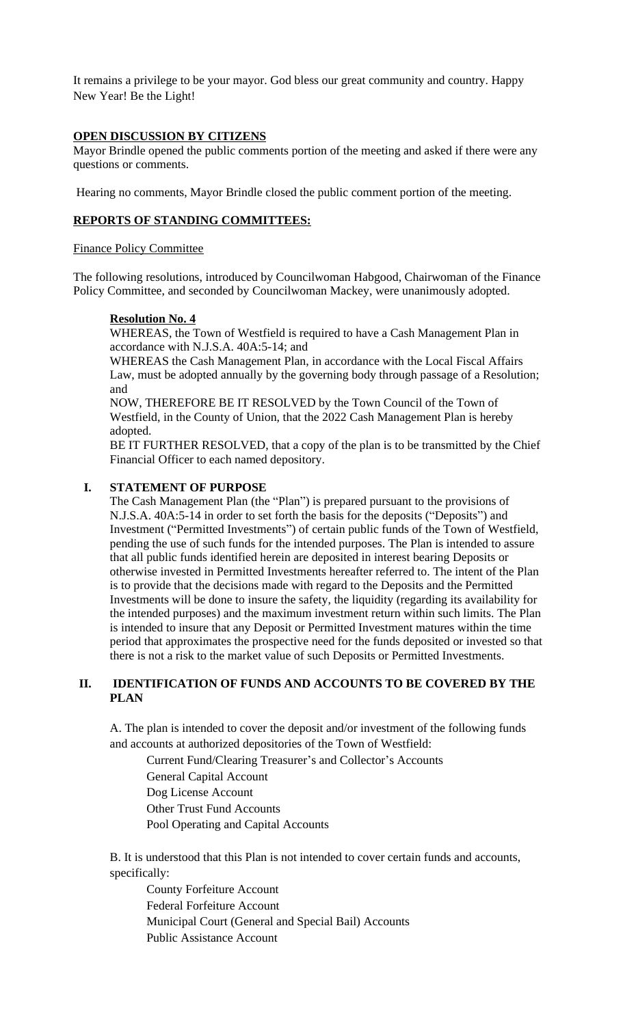It remains a privilege to be your mayor. God bless our great community and country. Happy New Year! Be the Light!

#### **OPEN DISCUSSION BY CITIZENS**

Mayor Brindle opened the public comments portion of the meeting and asked if there were any questions or comments.

Hearing no comments, Mayor Brindle closed the public comment portion of the meeting.

## **REPORTS OF STANDING COMMITTEES:**

#### Finance Policy Committee

The following resolutions, introduced by Councilwoman Habgood, Chairwoman of the Finance Policy Committee, and seconded by Councilwoman Mackey, were unanimously adopted.

#### **Resolution No. 4**

WHEREAS, the Town of Westfield is required to have a Cash Management Plan in accordance with N.J.S.A. 40A:5-14; and

WHEREAS the Cash Management Plan, in accordance with the Local Fiscal Affairs Law, must be adopted annually by the governing body through passage of a Resolution; and

NOW, THEREFORE BE IT RESOLVED by the Town Council of the Town of Westfield, in the County of Union, that the 2022 Cash Management Plan is hereby adopted.

BE IT FURTHER RESOLVED, that a copy of the plan is to be transmitted by the Chief Financial Officer to each named depository.

## **I. STATEMENT OF PURPOSE**

The Cash Management Plan (the "Plan") is prepared pursuant to the provisions of N.J.S.A. 40A:5-14 in order to set forth the basis for the deposits ("Deposits") and Investment ("Permitted Investments") of certain public funds of the Town of Westfield, pending the use of such funds for the intended purposes. The Plan is intended to assure that all public funds identified herein are deposited in interest bearing Deposits or otherwise invested in Permitted Investments hereafter referred to. The intent of the Plan is to provide that the decisions made with regard to the Deposits and the Permitted Investments will be done to insure the safety, the liquidity (regarding its availability for the intended purposes) and the maximum investment return within such limits. The Plan is intended to insure that any Deposit or Permitted Investment matures within the time period that approximates the prospective need for the funds deposited or invested so that there is not a risk to the market value of such Deposits or Permitted Investments.

## **II. IDENTIFICATION OF FUNDS AND ACCOUNTS TO BE COVERED BY THE PLAN**

A. The plan is intended to cover the deposit and/or investment of the following funds and accounts at authorized depositories of the Town of Westfield:

Current Fund/Clearing Treasurer's and Collector's Accounts General Capital Account Dog License Account Other Trust Fund Accounts Pool Operating and Capital Accounts

B. It is understood that this Plan is not intended to cover certain funds and accounts, specifically:

County Forfeiture Account Federal Forfeiture Account Municipal Court (General and Special Bail) Accounts Public Assistance Account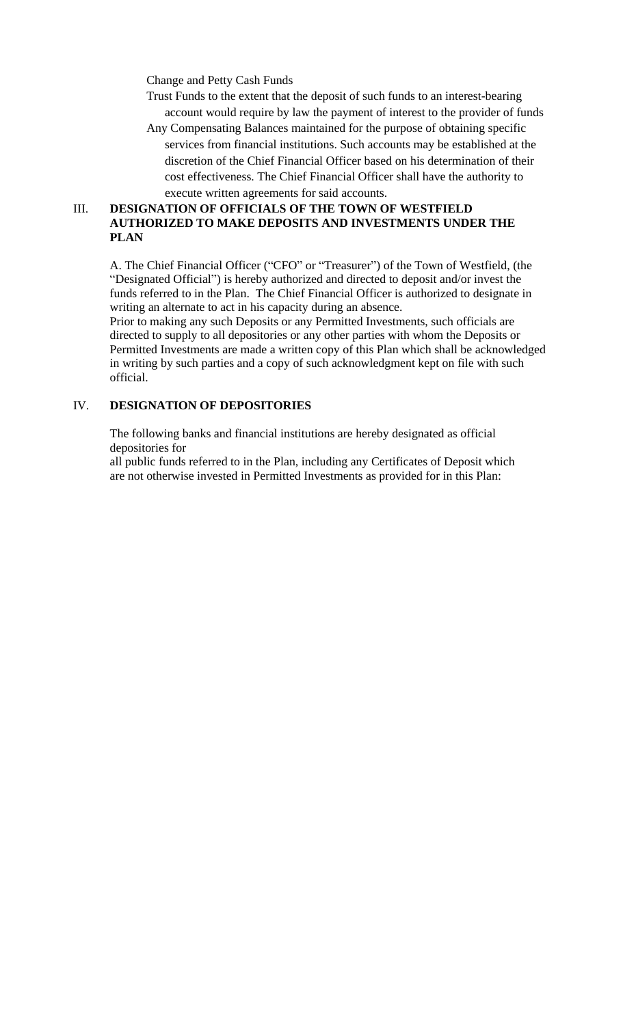Change and Petty Cash Funds

- Trust Funds to the extent that the deposit of such funds to an interest-bearing account would require by law the payment of interest to the provider of funds
- Any Compensating Balances maintained for the purpose of obtaining specific services from financial institutions. Such accounts may be established at the discretion of the Chief Financial Officer based on his determination of their cost effectiveness. The Chief Financial Officer shall have the authority to execute written agreements for said accounts.

## III. **DESIGNATION OF OFFICIALS OF THE TOWN OF WESTFIELD AUTHORIZED TO MAKE DEPOSITS AND INVESTMENTS UNDER THE PLAN**

A. The Chief Financial Officer ("CFO" or "Treasurer") of the Town of Westfield, (the "Designated Official") is hereby authorized and directed to deposit and/or invest the funds referred to in the Plan. The Chief Financial Officer is authorized to designate in writing an alternate to act in his capacity during an absence.

Prior to making any such Deposits or any Permitted Investments, such officials are directed to supply to all depositories or any other parties with whom the Deposits or Permitted Investments are made a written copy of this Plan which shall be acknowledged in writing by such parties and a copy of such acknowledgment kept on file with such official.

# IV. **DESIGNATION OF DEPOSITORIES**

The following banks and financial institutions are hereby designated as official depositories for

all public funds referred to in the Plan, including any Certificates of Deposit which are not otherwise invested in Permitted Investments as provided for in this Plan: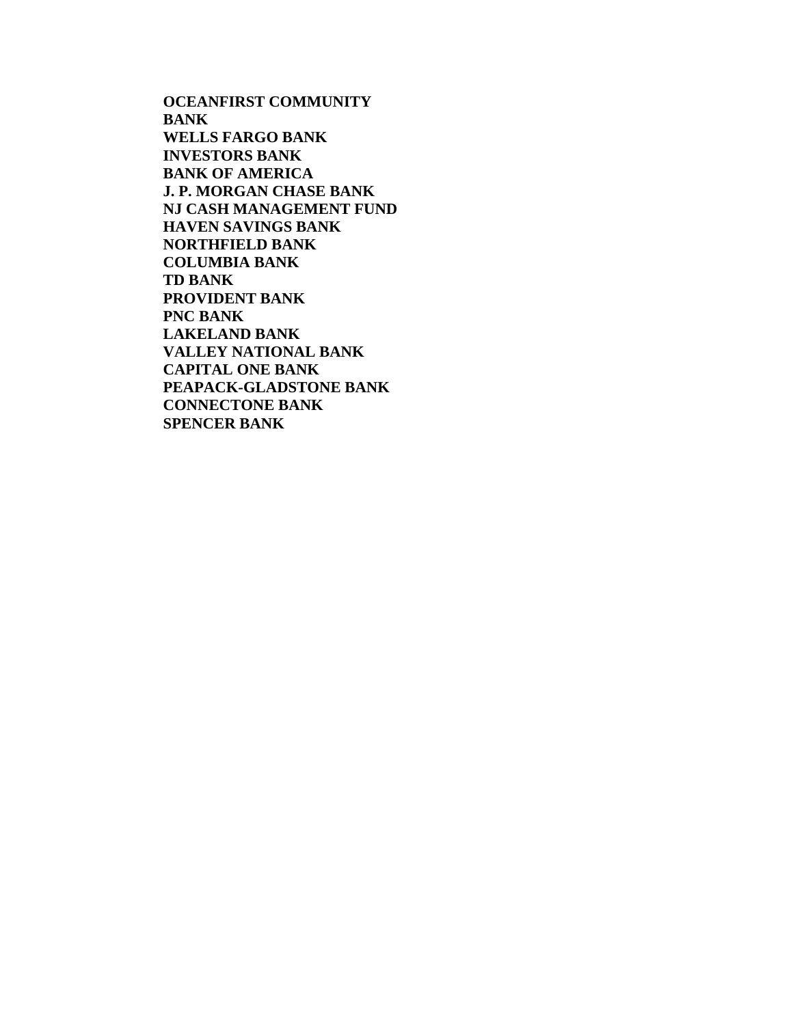**OCEANFIRST COMMUNITY BANK WELLS FARGO BANK INVESTORS BANK BANK OF AMERICA J. P. MORGAN CHASE BANK NJ CASH MANAGEMENT FUND HAVEN SAVINGS BANK NORTHFIELD BANK COLUMBIA BANK TD BANK PROVIDENT BANK PNC BANK LAKELAND BANK VALLEY NATIONAL BANK CAPITAL ONE BANK PEAPACK-GLADSTONE BANK CONNECTONE BANK SPENCER BANK**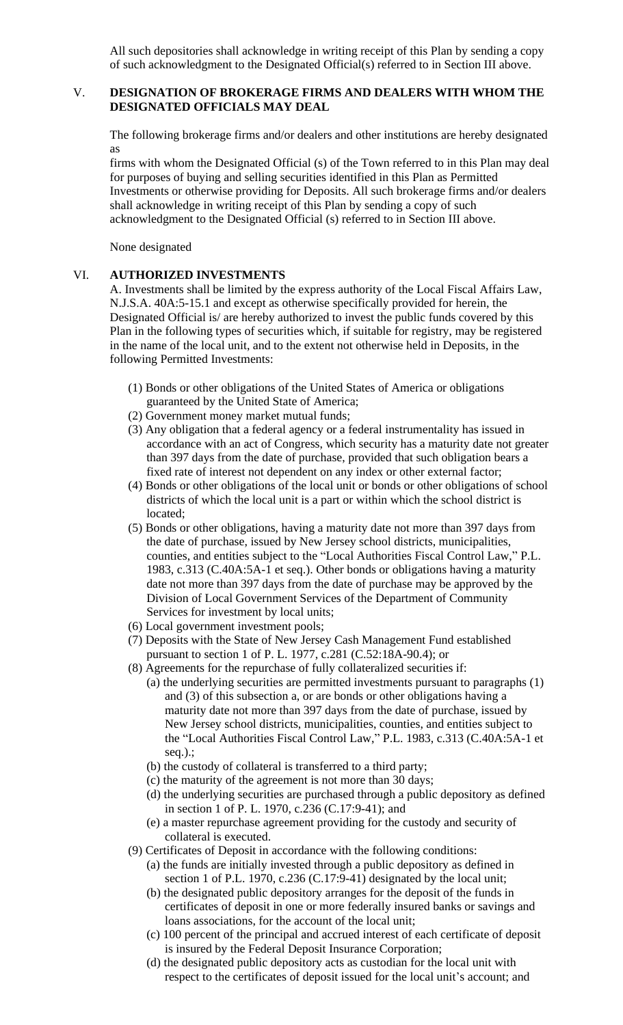All such depositories shall acknowledge in writing receipt of this Plan by sending a copy of such acknowledgment to the Designated Official(s) referred to in Section III above.

## V. **DESIGNATION OF BROKERAGE FIRMS AND DEALERS WITH WHOM THE DESIGNATED OFFICIALS MAY DEAL**

The following brokerage firms and/or dealers and other institutions are hereby designated as

firms with whom the Designated Official (s) of the Town referred to in this Plan may deal for purposes of buying and selling securities identified in this Plan as Permitted Investments or otherwise providing for Deposits. All such brokerage firms and/or dealers shall acknowledge in writing receipt of this Plan by sending a copy of such acknowledgment to the Designated Official (s) referred to in Section III above.

None designated

## VI. **AUTHORIZED INVESTMENTS**

A. Investments shall be limited by the express authority of the Local Fiscal Affairs Law, N.J.S.A. 40A:5-15.1 and except as otherwise specifically provided for herein, the Designated Official is/ are hereby authorized to invest the public funds covered by this Plan in the following types of securities which, if suitable for registry, may be registered in the name of the local unit, and to the extent not otherwise held in Deposits, in the following Permitted Investments:

- (1) Bonds or other obligations of the United States of America or obligations guaranteed by the United State of America;
- (2) Government money market mutual funds;
- (3) Any obligation that a federal agency or a federal instrumentality has issued in accordance with an act of Congress, which security has a maturity date not greater than 397 days from the date of purchase, provided that such obligation bears a fixed rate of interest not dependent on any index or other external factor;
- (4) Bonds or other obligations of the local unit or bonds or other obligations of school districts of which the local unit is a part or within which the school district is located;
- (5) Bonds or other obligations, having a maturity date not more than 397 days from the date of purchase, issued by New Jersey school districts, municipalities, counties, and entities subject to the "Local Authorities Fiscal Control Law," P.L. 1983, c.313 (C.40A:5A-1 et seq.). Other bonds or obligations having a maturity date not more than 397 days from the date of purchase may be approved by the Division of Local Government Services of the Department of Community Services for investment by local units;
- (6) Local government investment pools;
- (7) Deposits with the State of New Jersey Cash Management Fund established pursuant to section 1 of P. L. 1977, c.281 (C.52:18A-90.4); or
- (8) Agreements for the repurchase of fully collateralized securities if:
	- (a) the underlying securities are permitted investments pursuant to paragraphs (1) and (3) of this subsection a, or are bonds or other obligations having a maturity date not more than 397 days from the date of purchase, issued by New Jersey school districts, municipalities, counties, and entities subject to the "Local Authorities Fiscal Control Law," P.L. 1983, c.313 (C.40A:5A-1 et seq.).;
	- (b) the custody of collateral is transferred to a third party;
	- (c) the maturity of the agreement is not more than 30 days;
	- (d) the underlying securities are purchased through a public depository as defined in section 1 of P. L. 1970, c.236 (C.17:9-41); and
	- (e) a master repurchase agreement providing for the custody and security of collateral is executed.
- (9) Certificates of Deposit in accordance with the following conditions:
	- (a) the funds are initially invested through a public depository as defined in section 1 of P.L. 1970, c.236 (C.17:9-41) designated by the local unit;
	- (b) the designated public depository arranges for the deposit of the funds in certificates of deposit in one or more federally insured banks or savings and loans associations, for the account of the local unit;
	- (c) 100 percent of the principal and accrued interest of each certificate of deposit is insured by the Federal Deposit Insurance Corporation;
	- (d) the designated public depository acts as custodian for the local unit with respect to the certificates of deposit issued for the local unit's account; and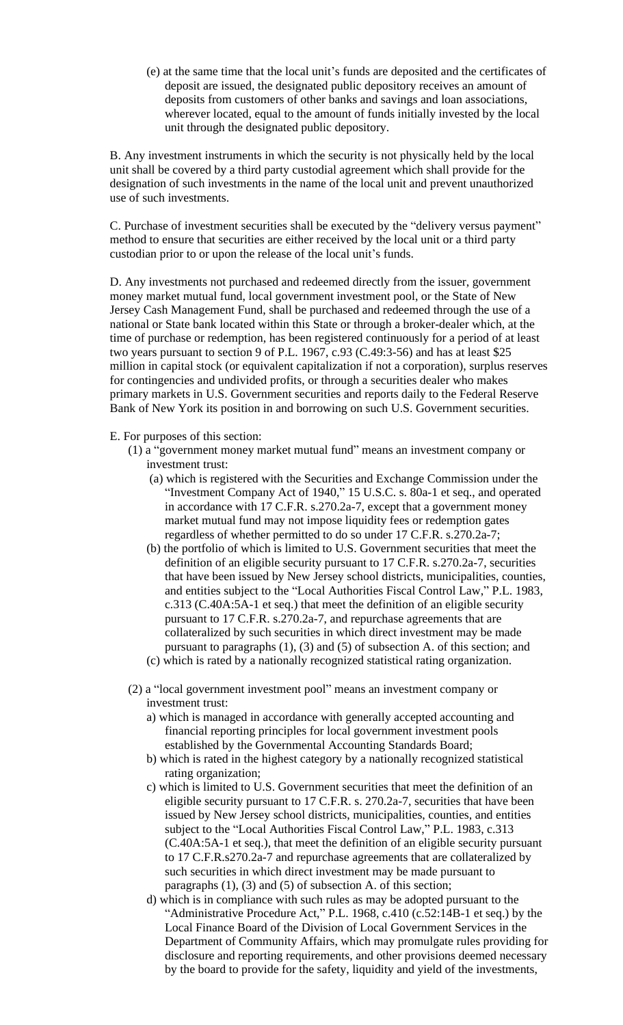(e) at the same time that the local unit's funds are deposited and the certificates of deposit are issued, the designated public depository receives an amount of deposits from customers of other banks and savings and loan associations, wherever located, equal to the amount of funds initially invested by the local unit through the designated public depository.

B. Any investment instruments in which the security is not physically held by the local unit shall be covered by a third party custodial agreement which shall provide for the designation of such investments in the name of the local unit and prevent unauthorized use of such investments.

C. Purchase of investment securities shall be executed by the "delivery versus payment" method to ensure that securities are either received by the local unit or a third party custodian prior to or upon the release of the local unit's funds.

D. Any investments not purchased and redeemed directly from the issuer, government money market mutual fund, local government investment pool, or the State of New Jersey Cash Management Fund, shall be purchased and redeemed through the use of a national or State bank located within this State or through a broker-dealer which, at the time of purchase or redemption, has been registered continuously for a period of at least two years pursuant to section 9 of P.L. 1967, c.93 (C.49:3-56) and has at least \$25 million in capital stock (or equivalent capitalization if not a corporation), surplus reserves for contingencies and undivided profits, or through a securities dealer who makes primary markets in U.S. Government securities and reports daily to the Federal Reserve Bank of New York its position in and borrowing on such U.S. Government securities.

E. For purposes of this section:

- (1) a "government money market mutual fund" means an investment company or investment trust:
	- (a) which is registered with the Securities and Exchange Commission under the "Investment Company Act of 1940," 15 U.S.C. s. 80a-1 et seq., and operated in accordance with 17 C.F.R. s.270.2a-7, except that a government money market mutual fund may not impose liquidity fees or redemption gates regardless of whether permitted to do so under 17 C.F.R. s.270.2a-7;
	- (b) the portfolio of which is limited to U.S. Government securities that meet the definition of an eligible security pursuant to 17 C.F.R. s.270.2a-7, securities that have been issued by New Jersey school districts, municipalities, counties, and entities subject to the "Local Authorities Fiscal Control Law," P.L. 1983, c.313 (C.40A:5A-1 et seq.) that meet the definition of an eligible security pursuant to 17 C.F.R. s.270.2a-7, and repurchase agreements that are collateralized by such securities in which direct investment may be made pursuant to paragraphs (1), (3) and (5) of subsection A. of this section; and
	- (c) which is rated by a nationally recognized statistical rating organization.
- (2) a "local government investment pool" means an investment company or investment trust:
	- a) which is managed in accordance with generally accepted accounting and financial reporting principles for local government investment pools established by the Governmental Accounting Standards Board;
	- b) which is rated in the highest category by a nationally recognized statistical rating organization;
	- c) which is limited to U.S. Government securities that meet the definition of an eligible security pursuant to 17 C.F.R. s. 270.2a-7, securities that have been issued by New Jersey school districts, municipalities, counties, and entities subject to the "Local Authorities Fiscal Control Law," P.L. 1983, c.313 (C.40A:5A-1 et seq.), that meet the definition of an eligible security pursuant to 17 C.F.R.s270.2a-7 and repurchase agreements that are collateralized by such securities in which direct investment may be made pursuant to paragraphs (1), (3) and (5) of subsection A. of this section;
	- d) which is in compliance with such rules as may be adopted pursuant to the "Administrative Procedure Act," P.L. 1968, c.410 (c.52:14B-1 et seq.) by the Local Finance Board of the Division of Local Government Services in the Department of Community Affairs, which may promulgate rules providing for disclosure and reporting requirements, and other provisions deemed necessary by the board to provide for the safety, liquidity and yield of the investments,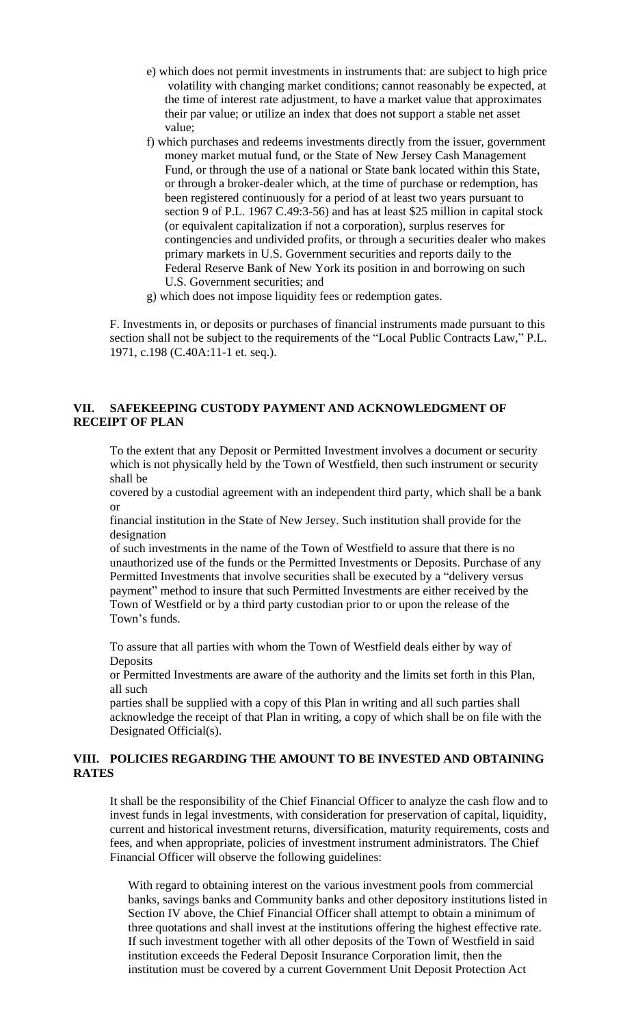- e) which does not permit investments in instruments that: are subject to high price volatility with changing market conditions; cannot reasonably be expected, at the time of interest rate adjustment, to have a market value that approximates their par value; or utilize an index that does not support a stable net asset value;
- f) which purchases and redeems investments directly from the issuer, government money market mutual fund, or the State of New Jersey Cash Management Fund, or through the use of a national or State bank located within this State, or through a broker-dealer which, at the time of purchase or redemption, has been registered continuously for a period of at least two years pursuant to section 9 of P.L. 1967 C.49:3-56) and has at least \$25 million in capital stock (or equivalent capitalization if not a corporation), surplus reserves for contingencies and undivided profits, or through a securities dealer who makes primary markets in U.S. Government securities and reports daily to the Federal Reserve Bank of New York its position in and borrowing on such U.S. Government securities; and
- g) which does not impose liquidity fees or redemption gates.

F. Investments in, or deposits or purchases of financial instruments made pursuant to this section shall not be subject to the requirements of the "Local Public Contracts Law," P.L. 1971, c.198 (C.40A:11-1 et. seq.).

## **VII. SAFEKEEPING CUSTODY PAYMENT AND ACKNOWLEDGMENT OF RECEIPT OF PLAN**

To the extent that any Deposit or Permitted Investment involves a document or security which is not physically held by the Town of Westfield, then such instrument or security shall be

covered by a custodial agreement with an independent third party, which shall be a bank or

financial institution in the State of New Jersey. Such institution shall provide for the designation

of such investments in the name of the Town of Westfield to assure that there is no unauthorized use of the funds or the Permitted Investments or Deposits. Purchase of any Permitted Investments that involve securities shall be executed by a "delivery versus payment" method to insure that such Permitted Investments are either received by the Town of Westfield or by a third party custodian prior to or upon the release of the Town's funds.

To assure that all parties with whom the Town of Westfield deals either by way of **Deposits** 

or Permitted Investments are aware of the authority and the limits set forth in this Plan, all such

parties shall be supplied with a copy of this Plan in writing and all such parties shall acknowledge the receipt of that Plan in writing, a copy of which shall be on file with the Designated Official(s).

## **VIII. POLICIES REGARDING THE AMOUNT TO BE INVESTED AND OBTAINING RATES**

It shall be the responsibility of the Chief Financial Officer to analyze the cash flow and to invest funds in legal investments, with consideration for preservation of capital, liquidity, current and historical investment returns, diversification, maturity requirements, costs and fees, and when appropriate, policies of investment instrument administrators. The Chief Financial Officer will observe the following guidelines:

With regard to obtaining interest on the various investment pools from commercial banks, savings banks and Community banks and other depository institutions listed in Section IV above, the Chief Financial Officer shall attempt to obtain a minimum of three quotations and shall invest at the institutions offering the highest effective rate. If such investment together with all other deposits of the Town of Westfield in said institution exceeds the Federal Deposit Insurance Corporation limit, then the institution must be covered by a current Government Unit Deposit Protection Act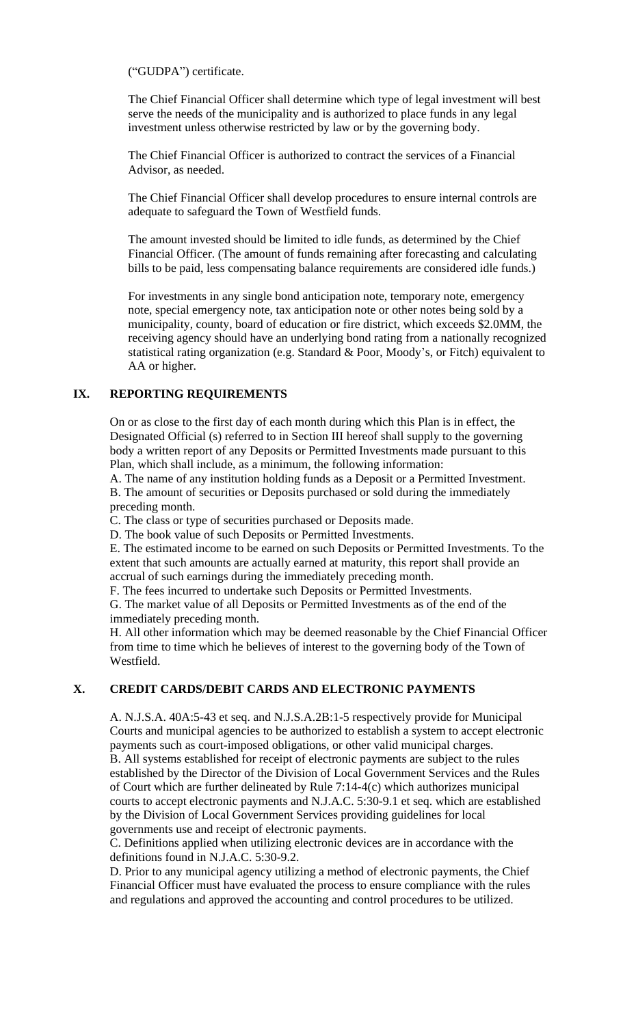("GUDPA") certificate.

The Chief Financial Officer shall determine which type of legal investment will best serve the needs of the municipality and is authorized to place funds in any legal investment unless otherwise restricted by law or by the governing body.

The Chief Financial Officer is authorized to contract the services of a Financial Advisor, as needed.

The Chief Financial Officer shall develop procedures to ensure internal controls are adequate to safeguard the Town of Westfield funds.

The amount invested should be limited to idle funds, as determined by the Chief Financial Officer. (The amount of funds remaining after forecasting and calculating bills to be paid, less compensating balance requirements are considered idle funds.)

For investments in any single bond anticipation note, temporary note, emergency note, special emergency note, tax anticipation note or other notes being sold by a municipality, county, board of education or fire district, which exceeds \$2.0MM, the receiving agency should have an underlying bond rating from a nationally recognized statistical rating organization (e.g. Standard & Poor, Moody's, or Fitch) equivalent to AA or higher.

## **IX. REPORTING REQUIREMENTS**

On or as close to the first day of each month during which this Plan is in effect, the Designated Official (s) referred to in Section III hereof shall supply to the governing body a written report of any Deposits or Permitted Investments made pursuant to this Plan, which shall include, as a minimum, the following information:

A. The name of any institution holding funds as a Deposit or a Permitted Investment. B. The amount of securities or Deposits purchased or sold during the immediately preceding month.

C. The class or type of securities purchased or Deposits made.

D. The book value of such Deposits or Permitted Investments.

E. The estimated income to be earned on such Deposits or Permitted Investments. To the extent that such amounts are actually earned at maturity, this report shall provide an accrual of such earnings during the immediately preceding month.

F. The fees incurred to undertake such Deposits or Permitted Investments.

G. The market value of all Deposits or Permitted Investments as of the end of the immediately preceding month.

H. All other information which may be deemed reasonable by the Chief Financial Officer from time to time which he believes of interest to the governing body of the Town of Westfield.

# **X. CREDIT CARDS/DEBIT CARDS AND ELECTRONIC PAYMENTS**

A. N.J.S.A. 40A:5-43 et seq. and N.J.S.A.2B:1-5 respectively provide for Municipal Courts and municipal agencies to be authorized to establish a system to accept electronic payments such as court-imposed obligations, or other valid municipal charges. B. All systems established for receipt of electronic payments are subject to the rules established by the Director of the Division of Local Government Services and the Rules of Court which are further delineated by Rule 7:14-4(c) which authorizes municipal courts to accept electronic payments and N.J.A.C. 5:30-9.1 et seq. which are established by the Division of Local Government Services providing guidelines for local governments use and receipt of electronic payments.

C. Definitions applied when utilizing electronic devices are in accordance with the definitions found in N.J.A.C. 5:30-9.2.

D. Prior to any municipal agency utilizing a method of electronic payments, the Chief Financial Officer must have evaluated the process to ensure compliance with the rules and regulations and approved the accounting and control procedures to be utilized.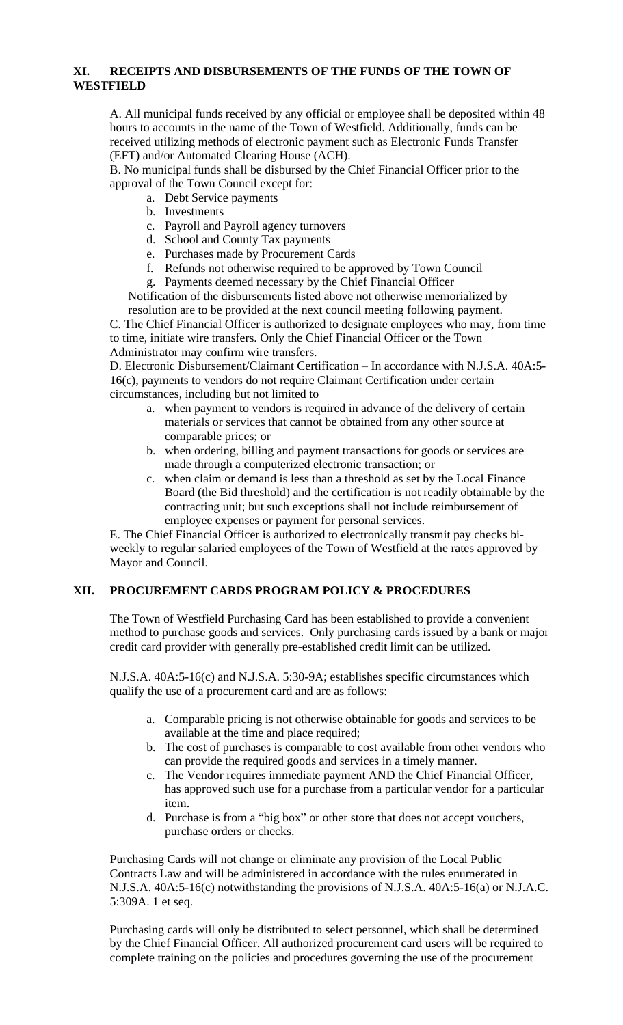# **XI. RECEIPTS AND DISBURSEMENTS OF THE FUNDS OF THE TOWN OF WESTFIELD**

A. All municipal funds received by any official or employee shall be deposited within 48 hours to accounts in the name of the Town of Westfield. Additionally, funds can be received utilizing methods of electronic payment such as Electronic Funds Transfer (EFT) and/or Automated Clearing House (ACH).

B. No municipal funds shall be disbursed by the Chief Financial Officer prior to the approval of the Town Council except for:

- a. Debt Service payments
- b. Investments
- c. Payroll and Payroll agency turnovers
- d. School and County Tax payments
- e. Purchases made by Procurement Cards
- f. Refunds not otherwise required to be approved by Town Council
- g. Payments deemed necessary by the Chief Financial Officer

Notification of the disbursements listed above not otherwise memorialized by resolution are to be provided at the next council meeting following payment.

C. The Chief Financial Officer is authorized to designate employees who may, from time to time, initiate wire transfers. Only the Chief Financial Officer or the Town Administrator may confirm wire transfers.

D. Electronic Disbursement/Claimant Certification – In accordance with N.J.S.A. 40A:5- 16(c), payments to vendors do not require Claimant Certification under certain circumstances, including but not limited to

- a. when payment to vendors is required in advance of the delivery of certain materials or services that cannot be obtained from any other source at comparable prices; or
- b. when ordering, billing and payment transactions for goods or services are made through a computerized electronic transaction; or
- c. when claim or demand is less than a threshold as set by the Local Finance Board (the Bid threshold) and the certification is not readily obtainable by the contracting unit; but such exceptions shall not include reimbursement of employee expenses or payment for personal services.

E. The Chief Financial Officer is authorized to electronically transmit pay checks biweekly to regular salaried employees of the Town of Westfield at the rates approved by Mayor and Council.

# **XII. PROCUREMENT CARDS PROGRAM POLICY & PROCEDURES**

The Town of Westfield Purchasing Card has been established to provide a convenient method to purchase goods and services. Only purchasing cards issued by a bank or major credit card provider with generally pre-established credit limit can be utilized.

N.J.S.A. 40A:5-16(c) and N.J.S.A. 5:30-9A; establishes specific circumstances which qualify the use of a procurement card and are as follows:

- a. Comparable pricing is not otherwise obtainable for goods and services to be available at the time and place required;
- b. The cost of purchases is comparable to cost available from other vendors who can provide the required goods and services in a timely manner.
- c. The Vendor requires immediate payment AND the Chief Financial Officer, has approved such use for a purchase from a particular vendor for a particular item.
- d. Purchase is from a "big box" or other store that does not accept vouchers, purchase orders or checks.

Purchasing Cards will not change or eliminate any provision of the Local Public Contracts Law and will be administered in accordance with the rules enumerated in N.J.S.A. 40A:5-16(c) notwithstanding the provisions of N.J.S.A. 40A:5-16(a) or N.J.A.C. 5:309A. 1 et seq.

Purchasing cards will only be distributed to select personnel, which shall be determined by the Chief Financial Officer. All authorized procurement card users will be required to complete training on the policies and procedures governing the use of the procurement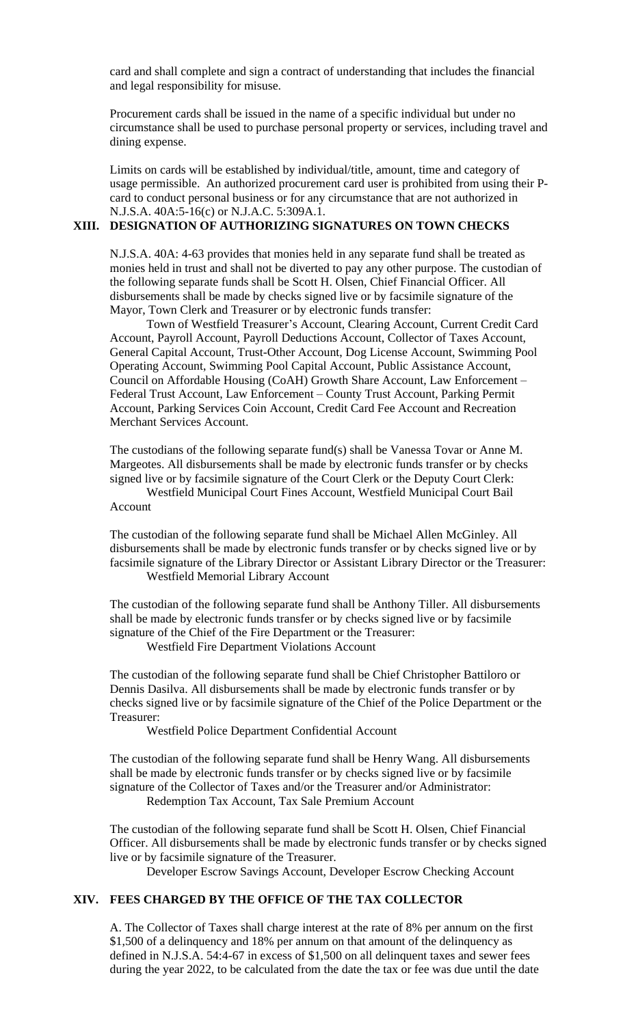card and shall complete and sign a contract of understanding that includes the financial and legal responsibility for misuse.

Procurement cards shall be issued in the name of a specific individual but under no circumstance shall be used to purchase personal property or services, including travel and dining expense.

Limits on cards will be established by individual/title, amount, time and category of usage permissible. An authorized procurement card user is prohibited from using their Pcard to conduct personal business or for any circumstance that are not authorized in N.J.S.A. 40A:5-16(c) or N.J.A.C. 5:309A.1.

## **XIII. DESIGNATION OF AUTHORIZING SIGNATURES ON TOWN CHECKS**

N.J.S.A. 40A: 4-63 provides that monies held in any separate fund shall be treated as monies held in trust and shall not be diverted to pay any other purpose. The custodian of the following separate funds shall be Scott H. Olsen, Chief Financial Officer. All disbursements shall be made by checks signed live or by facsimile signature of the Mayor, Town Clerk and Treasurer or by electronic funds transfer:

Town of Westfield Treasurer's Account, Clearing Account, Current Credit Card Account, Payroll Account, Payroll Deductions Account, Collector of Taxes Account, General Capital Account, Trust-Other Account, Dog License Account, Swimming Pool Operating Account, Swimming Pool Capital Account, Public Assistance Account, Council on Affordable Housing (CoAH) Growth Share Account, Law Enforcement – Federal Trust Account, Law Enforcement – County Trust Account, Parking Permit Account, Parking Services Coin Account, Credit Card Fee Account and Recreation Merchant Services Account.

The custodians of the following separate fund(s) shall be Vanessa Tovar or Anne M. Margeotes. All disbursements shall be made by electronic funds transfer or by checks signed live or by facsimile signature of the Court Clerk or the Deputy Court Clerk: Westfield Municipal Court Fines Account, Westfield Municipal Court Bail

Account

The custodian of the following separate fund shall be Michael Allen McGinley. All disbursements shall be made by electronic funds transfer or by checks signed live or by facsimile signature of the Library Director or Assistant Library Director or the Treasurer: Westfield Memorial Library Account

The custodian of the following separate fund shall be Anthony Tiller. All disbursements shall be made by electronic funds transfer or by checks signed live or by facsimile signature of the Chief of the Fire Department or the Treasurer:

Westfield Fire Department Violations Account

The custodian of the following separate fund shall be Chief Christopher Battiloro or Dennis Dasilva. All disbursements shall be made by electronic funds transfer or by checks signed live or by facsimile signature of the Chief of the Police Department or the Treasurer:

Westfield Police Department Confidential Account

The custodian of the following separate fund shall be Henry Wang. All disbursements shall be made by electronic funds transfer or by checks signed live or by facsimile signature of the Collector of Taxes and/or the Treasurer and/or Administrator: Redemption Tax Account, Tax Sale Premium Account

The custodian of the following separate fund shall be Scott H. Olsen, Chief Financial Officer. All disbursements shall be made by electronic funds transfer or by checks signed live or by facsimile signature of the Treasurer.

Developer Escrow Savings Account, Developer Escrow Checking Account

## **XIV. FEES CHARGED BY THE OFFICE OF THE TAX COLLECTOR**

A. The Collector of Taxes shall charge interest at the rate of 8% per annum on the first \$1,500 of a delinquency and 18% per annum on that amount of the delinquency as defined in N.J.S.A. 54:4-67 in excess of \$1,500 on all delinquent taxes and sewer fees during the year 2022, to be calculated from the date the tax or fee was due until the date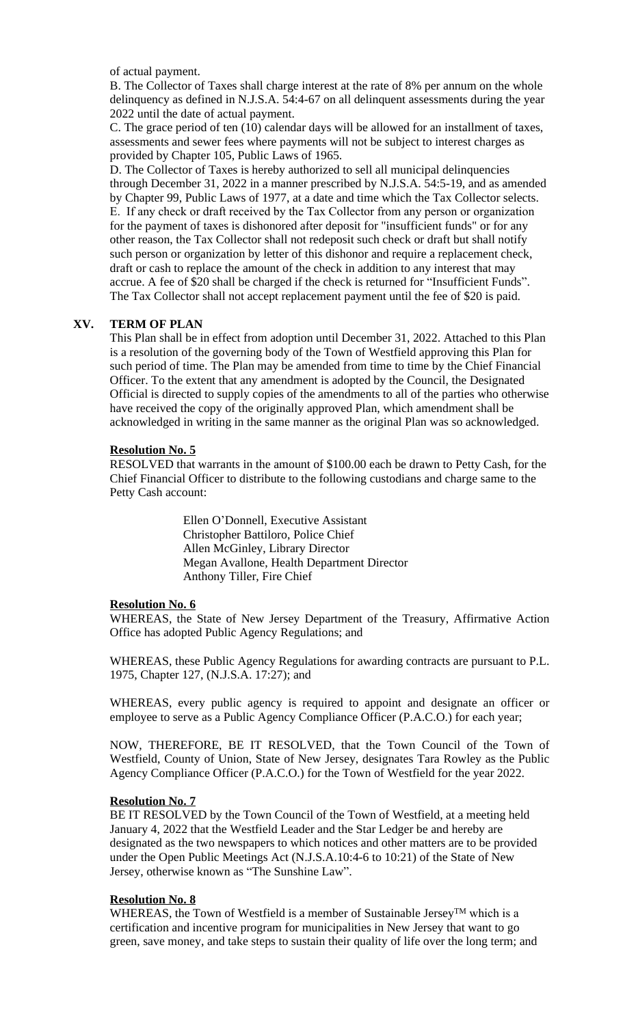of actual payment.

B. The Collector of Taxes shall charge interest at the rate of 8% per annum on the whole delinquency as defined in N.J.S.A. 54:4-67 on all delinquent assessments during the year 2022 until the date of actual payment.

C. The grace period of ten (10) calendar days will be allowed for an installment of taxes, assessments and sewer fees where payments will not be subject to interest charges as provided by Chapter 105, Public Laws of 1965.

D. The Collector of Taxes is hereby authorized to sell all municipal delinquencies through December 31, 2022 in a manner prescribed by N.J.S.A. 54:5-19, and as amended by Chapter 99, Public Laws of 1977, at a date and time which the Tax Collector selects. E. If any check or draft received by the Tax Collector from any person or organization for the payment of taxes is dishonored after deposit for "insufficient funds" or for any other reason, the Tax Collector shall not redeposit such check or draft but shall notify such person or organization by letter of this dishonor and require a replacement check, draft or cash to replace the amount of the check in addition to any interest that may accrue. A fee of \$20 shall be charged if the check is returned for "Insufficient Funds". The Tax Collector shall not accept replacement payment until the fee of \$20 is paid.

## **XV. TERM OF PLAN**

This Plan shall be in effect from adoption until December 31, 2022. Attached to this Plan is a resolution of the governing body of the Town of Westfield approving this Plan for such period of time. The Plan may be amended from time to time by the Chief Financial Officer. To the extent that any amendment is adopted by the Council, the Designated Official is directed to supply copies of the amendments to all of the parties who otherwise have received the copy of the originally approved Plan, which amendment shall be acknowledged in writing in the same manner as the original Plan was so acknowledged.

## **Resolution No. 5**

RESOLVED that warrants in the amount of \$100.00 each be drawn to Petty Cash, for the Chief Financial Officer to distribute to the following custodians and charge same to the Petty Cash account:

> Ellen O'Donnell, Executive Assistant Christopher Battiloro, Police Chief Allen McGinley, Library Director Megan Avallone, Health Department Director Anthony Tiller, Fire Chief

## **Resolution No. 6**

WHEREAS, the State of New Jersey Department of the Treasury, Affirmative Action Office has adopted Public Agency Regulations; and

WHEREAS, these Public Agency Regulations for awarding contracts are pursuant to P.L. 1975, Chapter 127, (N.J.S.A. 17:27); and

WHEREAS, every public agency is required to appoint and designate an officer or employee to serve as a Public Agency Compliance Officer (P.A.C.O.) for each year;

NOW, THEREFORE, BE IT RESOLVED, that the Town Council of the Town of Westfield, County of Union, State of New Jersey, designates Tara Rowley as the Public Agency Compliance Officer (P.A.C.O.) for the Town of Westfield for the year 2022.

## **Resolution No. 7**

BE IT RESOLVED by the Town Council of the Town of Westfield, at a meeting held January 4, 2022 that the Westfield Leader and the Star Ledger be and hereby are designated as the two newspapers to which notices and other matters are to be provided under the Open Public Meetings Act (N.J.S.A.10:4-6 to 10:21) of the State of New Jersey, otherwise known as "The Sunshine Law".

## **Resolution No. 8**

WHEREAS, the Town of Westfield is a member of Sustainable Jersey<sup>TM</sup> which is a certification and incentive program for municipalities in New Jersey that want to go green, save money, and take steps to sustain their quality of life over the long term; and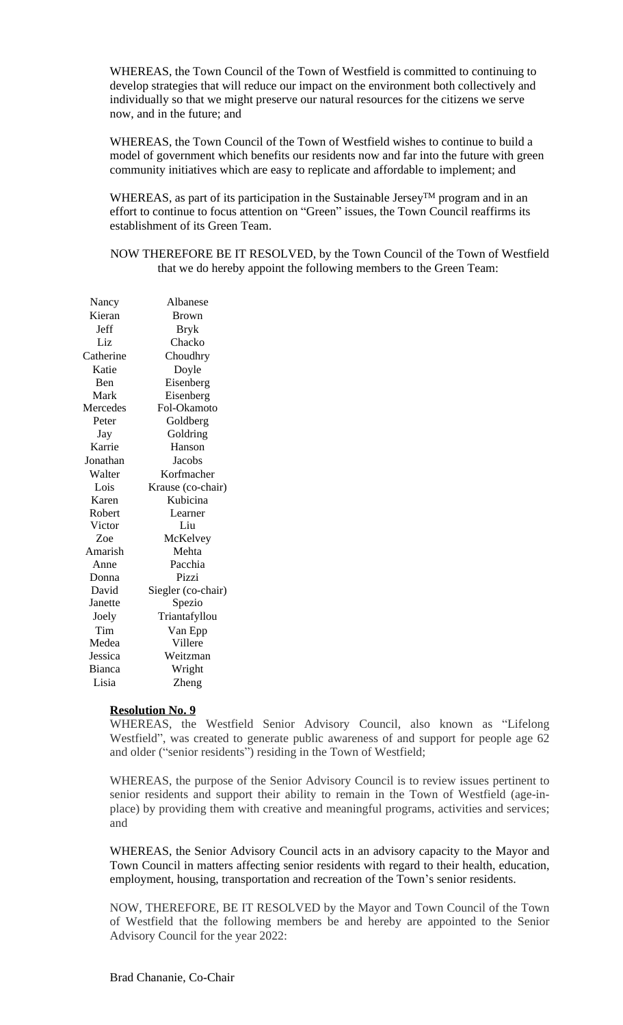WHEREAS, the Town Council of the Town of Westfield is committed to continuing to develop strategies that will reduce our impact on the environment both collectively and individually so that we might preserve our natural resources for the citizens we serve now, and in the future; and

WHEREAS, the Town Council of the Town of Westfield wishes to continue to build a model of government which benefits our residents now and far into the future with green community initiatives which are easy to replicate and affordable to implement; and

WHEREAS, as part of its participation in the Sustainable Jersey<sup>TM</sup> program and in an effort to continue to focus attention on "Green" issues, the Town Council reaffirms its establishment of its Green Team.

NOW THEREFORE BE IT RESOLVED, by the Town Council of the Town of Westfield that we do hereby appoint the following members to the Green Team:

| Nancy      | Albanese           |  |  |
|------------|--------------------|--|--|
| Kieran     | <b>Brown</b>       |  |  |
| Jeff       | <b>Bryk</b>        |  |  |
| Liz        | Chacko             |  |  |
| Catherine  | Choudhry           |  |  |
| Katie      | Doyle              |  |  |
| <b>Ben</b> | Eisenberg          |  |  |
| Mark       | Eisenberg          |  |  |
| Mercedes   | Fol-Okamoto        |  |  |
| Peter      | Goldberg           |  |  |
| Jay        | Goldring           |  |  |
| Karrie     | Hanson             |  |  |
| Jonathan   | Jacobs             |  |  |
| Walter     | Korfmacher         |  |  |
| Lois       | Krause (co-chair)  |  |  |
| Karen      | Kubicina           |  |  |
| Robert     | Learner            |  |  |
| Victor     | Liu                |  |  |
| Zoe        | McKelvey           |  |  |
| Amarish    | Mehta              |  |  |
| Anne       | Pacchia            |  |  |
| Donna      | Pizzi              |  |  |
| David      | Siegler (co-chair) |  |  |
| Janette    | Spezio             |  |  |
| Joely      | Triantafyllou      |  |  |
| Tim        | Van Epp            |  |  |
| Medea      | Villere            |  |  |
| Jessica    | Weitzman           |  |  |
| Bianca     | Wright             |  |  |
| Lisia      | Zheng              |  |  |

## **Resolution No. 9**

WHEREAS, the Westfield Senior Advisory Council, also known as "Lifelong Westfield", was created to generate public awareness of and support for people age 62 and older ("senior residents") residing in the Town of Westfield;

WHEREAS, the purpose of the Senior Advisory Council is to review issues pertinent to senior residents and support their ability to remain in the Town of Westfield (age-inplace) by providing them with creative and meaningful programs, activities and services; and

WHEREAS, the Senior Advisory Council acts in an advisory capacity to the Mayor and Town Council in matters affecting senior residents with regard to their health, education, employment, housing, transportation and recreation of the Town's senior residents.

NOW, THEREFORE, BE IT RESOLVED by the Mayor and Town Council of the Town of Westfield that the following members be and hereby are appointed to the Senior Advisory Council for the year 2022: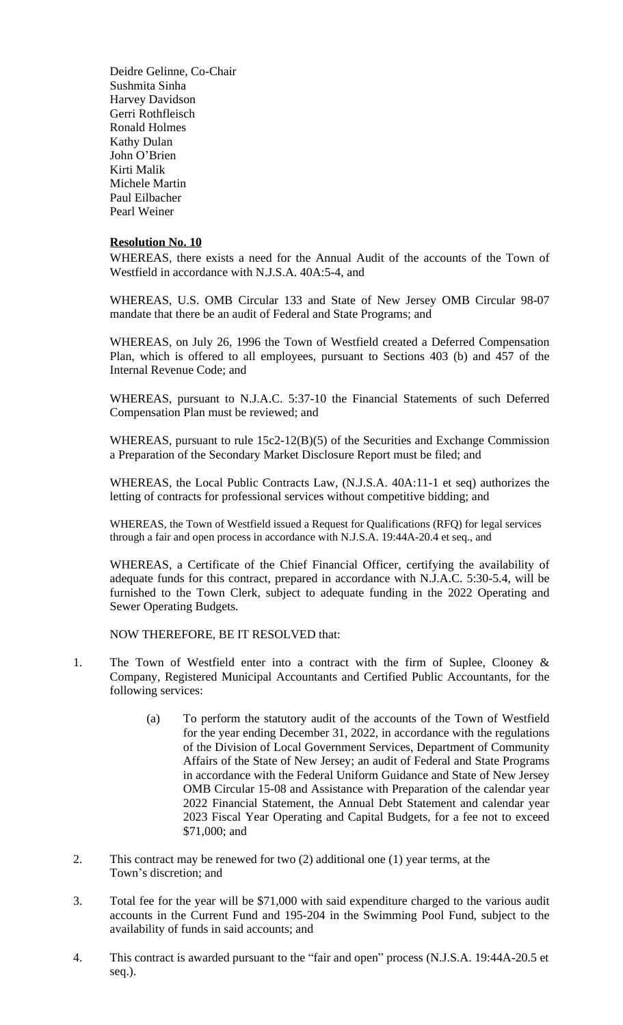Deidre Gelinne, Co-Chair Sushmita Sinha Harvey Davidson Gerri Rothfleisch Ronald Holmes Kathy Dulan John O'Brien Kirti Malik Michele Martin Paul Eilbacher Pearl Weiner

#### **Resolution No. 10**

WHEREAS, there exists a need for the Annual Audit of the accounts of the Town of Westfield in accordance with N.J.S.A. 40A:5-4, and

WHEREAS, U.S. OMB Circular 133 and State of New Jersey OMB Circular 98-07 mandate that there be an audit of Federal and State Programs; and

WHEREAS, on July 26, 1996 the Town of Westfield created a Deferred Compensation Plan, which is offered to all employees, pursuant to Sections 403 (b) and 457 of the Internal Revenue Code; and

WHEREAS, pursuant to N.J.A.C. 5:37-10 the Financial Statements of such Deferred Compensation Plan must be reviewed; and

WHEREAS, pursuant to rule 15c2-12(B)(5) of the Securities and Exchange Commission a Preparation of the Secondary Market Disclosure Report must be filed; and

WHEREAS, the Local Public Contracts Law, (N.J.S.A. 40A:11-1 et seq) authorizes the letting of contracts for professional services without competitive bidding; and

WHEREAS, the Town of Westfield issued a Request for Qualifications (RFQ) for legal services through a fair and open process in accordance with N.J.S.A. 19:44A-20.4 et seq., and

WHEREAS, a Certificate of the Chief Financial Officer, certifying the availability of adequate funds for this contract, prepared in accordance with N.J.A.C. 5:30-5.4, will be furnished to the Town Clerk, subject to adequate funding in the 2022 Operating and Sewer Operating Budgets.

NOW THEREFORE, BE IT RESOLVED that:

- 1. The Town of Westfield enter into a contract with the firm of Suplee, Clooney & Company, Registered Municipal Accountants and Certified Public Accountants, for the following services:
	- (a) To perform the statutory audit of the accounts of the Town of Westfield for the year ending December 31, 2022, in accordance with the regulations of the Division of Local Government Services, Department of Community Affairs of the State of New Jersey; an audit of Federal and State Programs in accordance with the Federal Uniform Guidance and State of New Jersey OMB Circular 15-08 and Assistance with Preparation of the calendar year 2022 Financial Statement, the Annual Debt Statement and calendar year 2023 Fiscal Year Operating and Capital Budgets, for a fee not to exceed \$71,000; and
- 2. This contract may be renewed for two (2) additional one (1) year terms, at the Town's discretion; and
- 3. Total fee for the year will be \$71,000 with said expenditure charged to the various audit accounts in the Current Fund and 195-204 in the Swimming Pool Fund, subject to the availability of funds in said accounts; and
- 4. This contract is awarded pursuant to the "fair and open" process (N.J.S.A. 19:44A-20.5 et seq.).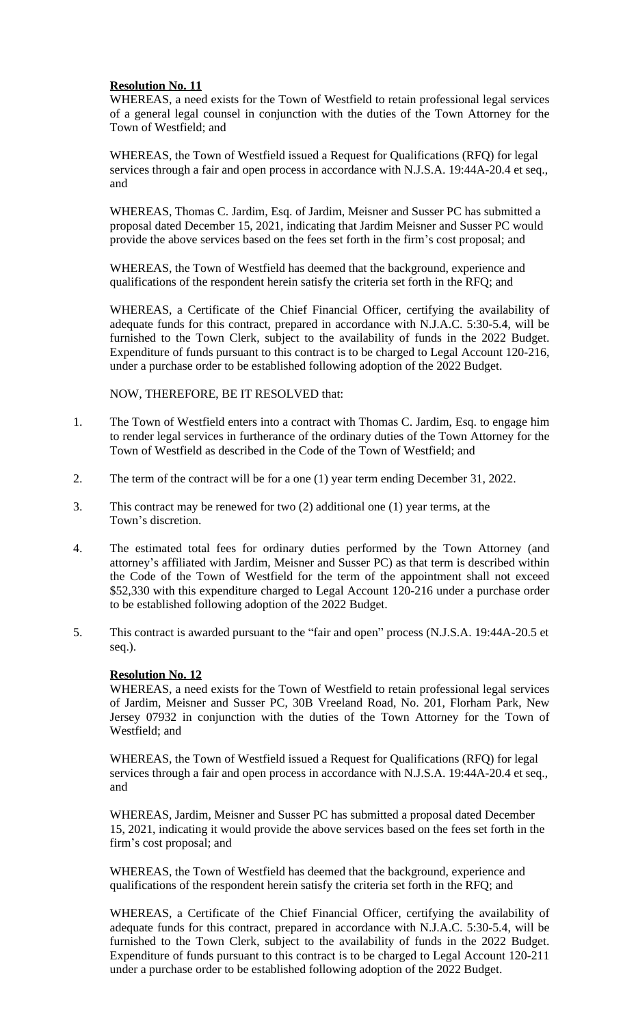## **Resolution No. 11**

WHEREAS, a need exists for the Town of Westfield to retain professional legal services of a general legal counsel in conjunction with the duties of the Town Attorney for the Town of Westfield; and

WHEREAS, the Town of Westfield issued a Request for Qualifications (RFQ) for legal services through a fair and open process in accordance with N.J.S.A. 19:44A-20.4 et seq., and

WHEREAS, Thomas C. Jardim, Esq. of Jardim, Meisner and Susser PC has submitted a proposal dated December 15, 2021, indicating that Jardim Meisner and Susser PC would provide the above services based on the fees set forth in the firm's cost proposal; and

WHEREAS, the Town of Westfield has deemed that the background, experience and qualifications of the respondent herein satisfy the criteria set forth in the RFQ; and

WHEREAS, a Certificate of the Chief Financial Officer, certifying the availability of adequate funds for this contract, prepared in accordance with N.J.A.C. 5:30-5.4, will be furnished to the Town Clerk, subject to the availability of funds in the 2022 Budget. Expenditure of funds pursuant to this contract is to be charged to Legal Account 120-216, under a purchase order to be established following adoption of the 2022 Budget.

NOW, THEREFORE, BE IT RESOLVED that:

- 1. The Town of Westfield enters into a contract with Thomas C. Jardim, Esq. to engage him to render legal services in furtherance of the ordinary duties of the Town Attorney for the Town of Westfield as described in the Code of the Town of Westfield; and
- 2. The term of the contract will be for a one (1) year term ending December 31, 2022.
- 3. This contract may be renewed for two (2) additional one (1) year terms, at the Town's discretion.
- 4. The estimated total fees for ordinary duties performed by the Town Attorney (and attorney's affiliated with Jardim, Meisner and Susser PC) as that term is described within the Code of the Town of Westfield for the term of the appointment shall not exceed \$52,330 with this expenditure charged to Legal Account 120-216 under a purchase order to be established following adoption of the 2022 Budget.
- 5. This contract is awarded pursuant to the "fair and open" process (N.J.S.A. 19:44A-20.5 et seq.).

## **Resolution No. 12**

WHEREAS, a need exists for the Town of Westfield to retain professional legal services of Jardim, Meisner and Susser PC, 30B Vreeland Road, No. 201, Florham Park, New Jersey 07932 in conjunction with the duties of the Town Attorney for the Town of Westfield; and

WHEREAS, the Town of Westfield issued a Request for Qualifications (RFQ) for legal services through a fair and open process in accordance with N.J.S.A. 19:44A-20.4 et seq., and

WHEREAS, Jardim, Meisner and Susser PC has submitted a proposal dated December 15, 2021, indicating it would provide the above services based on the fees set forth in the firm's cost proposal; and

WHEREAS, the Town of Westfield has deemed that the background, experience and qualifications of the respondent herein satisfy the criteria set forth in the RFQ; and

WHEREAS, a Certificate of the Chief Financial Officer, certifying the availability of adequate funds for this contract, prepared in accordance with N.J.A.C. 5:30-5.4, will be furnished to the Town Clerk, subject to the availability of funds in the 2022 Budget. Expenditure of funds pursuant to this contract is to be charged to Legal Account 120-211 under a purchase order to be established following adoption of the 2022 Budget.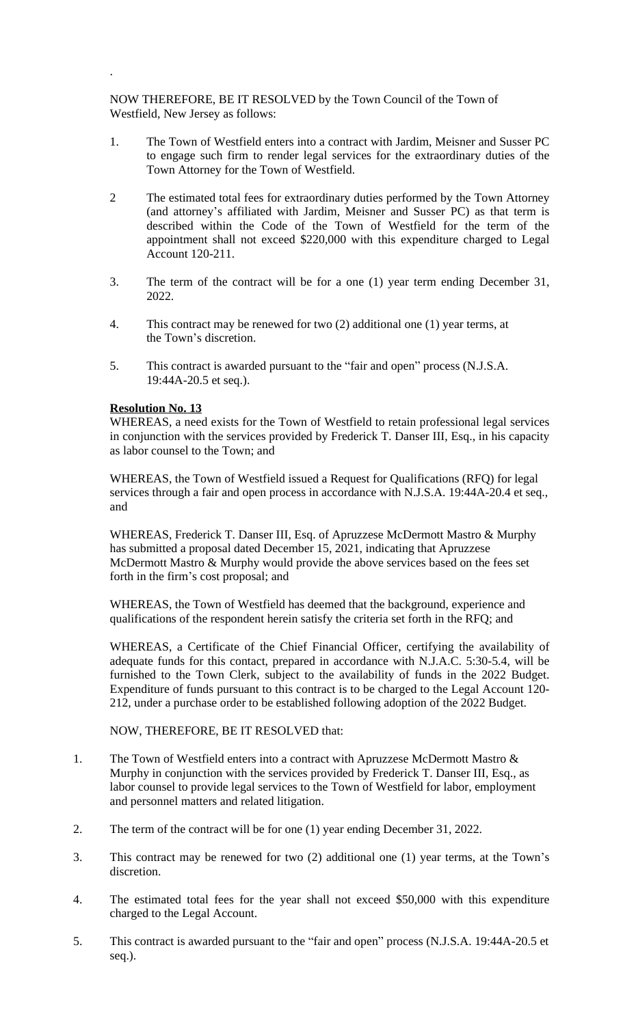NOW THEREFORE, BE IT RESOLVED by the Town Council of the Town of Westfield, New Jersey as follows:

- 1. The Town of Westfield enters into a contract with Jardim, Meisner and Susser PC to engage such firm to render legal services for the extraordinary duties of the Town Attorney for the Town of Westfield.
- 2 The estimated total fees for extraordinary duties performed by the Town Attorney (and attorney's affiliated with Jardim, Meisner and Susser PC) as that term is described within the Code of the Town of Westfield for the term of the appointment shall not exceed \$220,000 with this expenditure charged to Legal Account 120-211.
- 3. The term of the contract will be for a one (1) year term ending December 31, 2022.
- 4. This contract may be renewed for two (2) additional one (1) year terms, at the Town's discretion.
- 5. This contract is awarded pursuant to the "fair and open" process (N.J.S.A. 19:44A-20.5 et seq.).

## **Resolution No. 13**

.

WHEREAS, a need exists for the Town of Westfield to retain professional legal services in conjunction with the services provided by Frederick T. Danser III, Esq., in his capacity as labor counsel to the Town; and

WHEREAS, the Town of Westfield issued a Request for Qualifications (RFQ) for legal services through a fair and open process in accordance with N.J.S.A. 19:44A-20.4 et seq., and

WHEREAS, Frederick T. Danser III, Esq. of Apruzzese McDermott Mastro & Murphy has submitted a proposal dated December 15, 2021, indicating that Apruzzese McDermott Mastro & Murphy would provide the above services based on the fees set forth in the firm's cost proposal; and

WHEREAS, the Town of Westfield has deemed that the background, experience and qualifications of the respondent herein satisfy the criteria set forth in the RFQ; and

WHEREAS, a Certificate of the Chief Financial Officer, certifying the availability of adequate funds for this contact, prepared in accordance with N.J.A.C. 5:30-5.4, will be furnished to the Town Clerk, subject to the availability of funds in the 2022 Budget. Expenditure of funds pursuant to this contract is to be charged to the Legal Account 120- 212, under a purchase order to be established following adoption of the 2022 Budget.

NOW, THEREFORE, BE IT RESOLVED that:

- 1. The Town of Westfield enters into a contract with Apruzzese McDermott Mastro & Murphy in conjunction with the services provided by Frederick T. Danser III, Esq., as labor counsel to provide legal services to the Town of Westfield for labor, employment and personnel matters and related litigation.
- 2. The term of the contract will be for one (1) year ending December 31, 2022.
- 3. This contract may be renewed for two (2) additional one (1) year terms, at the Town's discretion.
- 4. The estimated total fees for the year shall not exceed \$50,000 with this expenditure charged to the Legal Account.
- 5. This contract is awarded pursuant to the "fair and open" process (N.J.S.A. 19:44A-20.5 et seq.).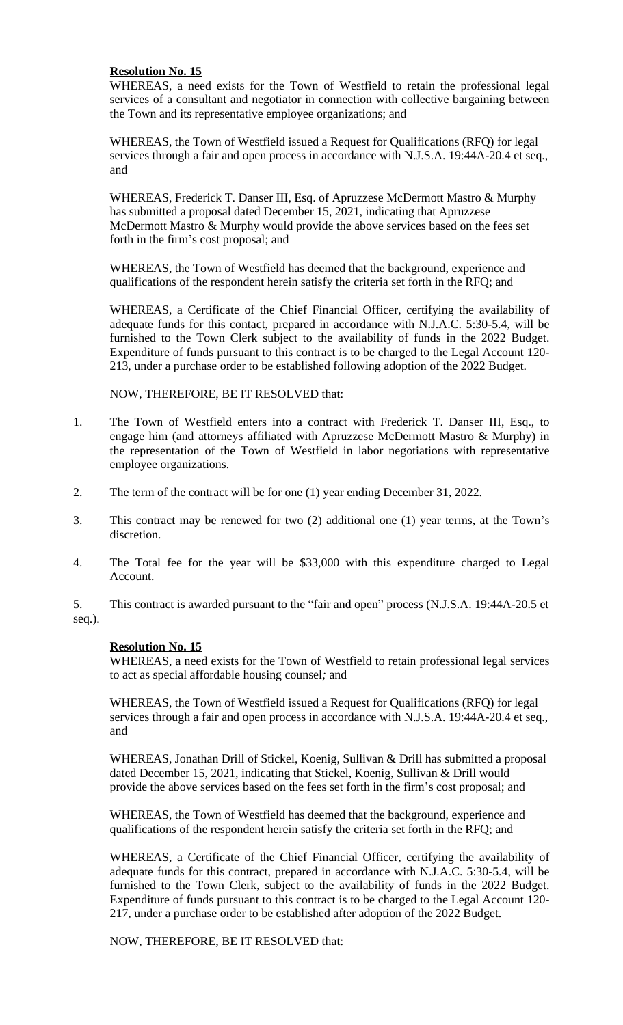## **Resolution No. 15**

WHEREAS, a need exists for the Town of Westfield to retain the professional legal services of a consultant and negotiator in connection with collective bargaining between the Town and its representative employee organizations; and

WHEREAS, the Town of Westfield issued a Request for Qualifications (RFQ) for legal services through a fair and open process in accordance with N.J.S.A. 19:44A-20.4 et seq., and

WHEREAS, Frederick T. Danser III, Esq. of Apruzzese McDermott Mastro & Murphy has submitted a proposal dated December 15, 2021, indicating that Apruzzese McDermott Mastro & Murphy would provide the above services based on the fees set forth in the firm's cost proposal; and

WHEREAS, the Town of Westfield has deemed that the background, experience and qualifications of the respondent herein satisfy the criteria set forth in the RFQ; and

WHEREAS, a Certificate of the Chief Financial Officer, certifying the availability of adequate funds for this contact, prepared in accordance with N.J.A.C. 5:30-5.4, will be furnished to the Town Clerk subject to the availability of funds in the 2022 Budget. Expenditure of funds pursuant to this contract is to be charged to the Legal Account 120- 213, under a purchase order to be established following adoption of the 2022 Budget.

NOW, THEREFORE, BE IT RESOLVED that:

- 1. The Town of Westfield enters into a contract with Frederick T. Danser III, Esq., to engage him (and attorneys affiliated with Apruzzese McDermott Mastro & Murphy) in the representation of the Town of Westfield in labor negotiations with representative employee organizations.
- 2. The term of the contract will be for one (1) year ending December 31, 2022.
- 3. This contract may be renewed for two (2) additional one (1) year terms, at the Town's discretion.
- 4. The Total fee for the year will be \$33,000 with this expenditure charged to Legal Account.

5. This contract is awarded pursuant to the "fair and open" process (N.J.S.A. 19:44A-20.5 et seq.).

# **Resolution No. 15**

WHEREAS, a need exists for the Town of Westfield to retain professional legal services to act as special affordable housing counsel*;* and

WHEREAS, the Town of Westfield issued a Request for Qualifications (RFQ) for legal services through a fair and open process in accordance with N.J.S.A. 19:44A-20.4 et seq., and

WHEREAS, Jonathan Drill of Stickel, Koenig, Sullivan & Drill has submitted a proposal dated December 15, 2021, indicating that Stickel, Koenig, Sullivan & Drill would provide the above services based on the fees set forth in the firm's cost proposal; and

WHEREAS, the Town of Westfield has deemed that the background, experience and qualifications of the respondent herein satisfy the criteria set forth in the RFQ; and

WHEREAS, a Certificate of the Chief Financial Officer, certifying the availability of adequate funds for this contract, prepared in accordance with N.J.A.C. 5:30-5.4, will be furnished to the Town Clerk, subject to the availability of funds in the 2022 Budget. Expenditure of funds pursuant to this contract is to be charged to the Legal Account 120- 217, under a purchase order to be established after adoption of the 2022 Budget.

NOW, THEREFORE, BE IT RESOLVED that: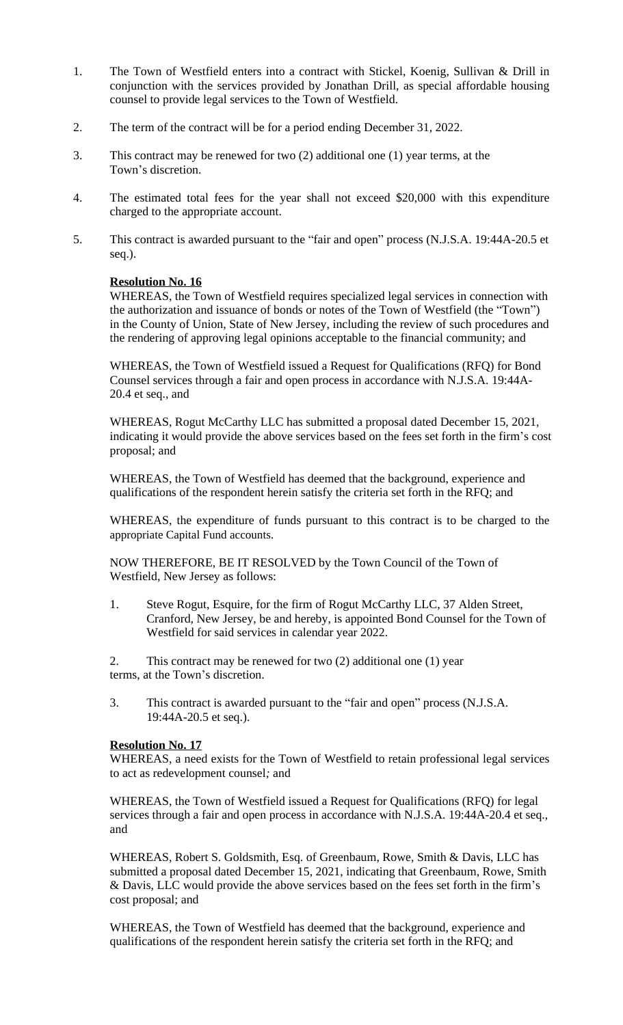- 1. The Town of Westfield enters into a contract with Stickel, Koenig, Sullivan & Drill in conjunction with the services provided by Jonathan Drill, as special affordable housing counsel to provide legal services to the Town of Westfield.
- 2. The term of the contract will be for a period ending December 31, 2022.
- 3. This contract may be renewed for two (2) additional one (1) year terms, at the Town's discretion.
- 4. The estimated total fees for the year shall not exceed \$20,000 with this expenditure charged to the appropriate account.
- 5. This contract is awarded pursuant to the "fair and open" process (N.J.S.A. 19:44A-20.5 et seq.).

## **Resolution No. 16**

WHEREAS, the Town of Westfield requires specialized legal services in connection with the authorization and issuance of bonds or notes of the Town of Westfield (the "Town") in the County of Union, State of New Jersey, including the review of such procedures and the rendering of approving legal opinions acceptable to the financial community; and

WHEREAS, the Town of Westfield issued a Request for Qualifications (RFQ) for Bond Counsel services through a fair and open process in accordance with N.J.S.A. 19:44A-20.4 et seq., and

WHEREAS, Rogut McCarthy LLC has submitted a proposal dated December 15, 2021, indicating it would provide the above services based on the fees set forth in the firm's cost proposal; and

WHEREAS, the Town of Westfield has deemed that the background, experience and qualifications of the respondent herein satisfy the criteria set forth in the RFQ; and

WHEREAS, the expenditure of funds pursuant to this contract is to be charged to the appropriate Capital Fund accounts.

NOW THEREFORE, BE IT RESOLVED by the Town Council of the Town of Westfield, New Jersey as follows:

1. Steve Rogut, Esquire, for the firm of Rogut McCarthy LLC, 37 Alden Street, Cranford, New Jersey, be and hereby, is appointed Bond Counsel for the Town of Westfield for said services in calendar year 2022.

2. This contract may be renewed for two (2) additional one (1) year terms, at the Town's discretion.

3. This contract is awarded pursuant to the "fair and open" process (N.J.S.A. 19:44A-20.5 et seq.).

#### **Resolution No. 17**

WHEREAS, a need exists for the Town of Westfield to retain professional legal services to act as redevelopment counsel*;* and

WHEREAS, the Town of Westfield issued a Request for Qualifications (RFQ) for legal services through a fair and open process in accordance with N.J.S.A. 19:44A-20.4 et seq., and

WHEREAS, Robert S. Goldsmith, Esq. of Greenbaum, Rowe, Smith & Davis, LLC has submitted a proposal dated December 15, 2021, indicating that Greenbaum, Rowe, Smith & Davis, LLC would provide the above services based on the fees set forth in the firm's cost proposal; and

WHEREAS, the Town of Westfield has deemed that the background, experience and qualifications of the respondent herein satisfy the criteria set forth in the RFQ; and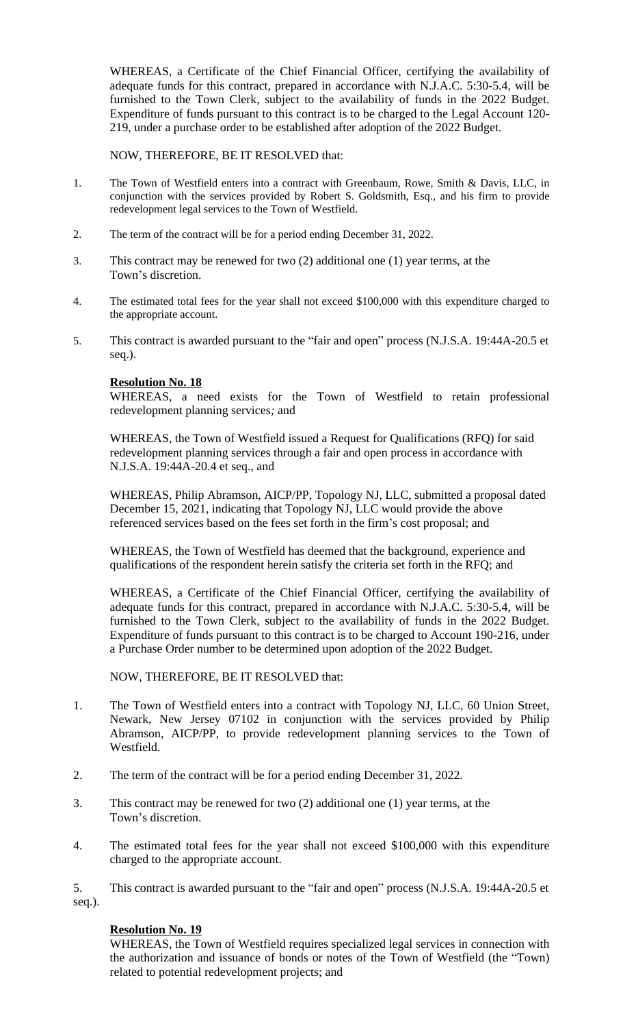WHEREAS, a Certificate of the Chief Financial Officer, certifying the availability of adequate funds for this contract, prepared in accordance with N.J.A.C. 5:30-5.4, will be furnished to the Town Clerk, subject to the availability of funds in the 2022 Budget. Expenditure of funds pursuant to this contract is to be charged to the Legal Account 120- 219, under a purchase order to be established after adoption of the 2022 Budget.

NOW, THEREFORE, BE IT RESOLVED that:

- 1. The Town of Westfield enters into a contract with Greenbaum, Rowe, Smith & Davis, LLC, in conjunction with the services provided by Robert S. Goldsmith, Esq., and his firm to provide redevelopment legal services to the Town of Westfield.
- 2. The term of the contract will be for a period ending December 31, 2022.
- 3. This contract may be renewed for two (2) additional one (1) year terms, at the Town's discretion.
- 4. The estimated total fees for the year shall not exceed \$100,000 with this expenditure charged to the appropriate account.
- 5. This contract is awarded pursuant to the "fair and open" process (N.J.S.A. 19:44A-20.5 et seq.).

## **Resolution No. 18**

WHEREAS, a need exists for the Town of Westfield to retain professional redevelopment planning services*;* and

WHEREAS, the Town of Westfield issued a Request for Qualifications (RFQ) for said redevelopment planning services through a fair and open process in accordance with N.J.S.A. 19:44A-20.4 et seq., and

WHEREAS, Philip Abramson, AICP/PP, Topology NJ, LLC, submitted a proposal dated December 15, 2021, indicating that Topology NJ, LLC would provide the above referenced services based on the fees set forth in the firm's cost proposal; and

WHEREAS, the Town of Westfield has deemed that the background, experience and qualifications of the respondent herein satisfy the criteria set forth in the RFQ; and

WHEREAS, a Certificate of the Chief Financial Officer, certifying the availability of adequate funds for this contract, prepared in accordance with N.J.A.C. 5:30-5.4, will be furnished to the Town Clerk, subject to the availability of funds in the 2022 Budget. Expenditure of funds pursuant to this contract is to be charged to Account 190-216, under a Purchase Order number to be determined upon adoption of the 2022 Budget.

NOW, THEREFORE, BE IT RESOLVED that:

- 1. The Town of Westfield enters into a contract with Topology NJ, LLC, 60 Union Street, Newark, New Jersey 07102 in conjunction with the services provided by Philip Abramson, AICP/PP, to provide redevelopment planning services to the Town of Westfield.
- 2. The term of the contract will be for a period ending December 31, 2022.
- 3. This contract may be renewed for two (2) additional one (1) year terms, at the Town's discretion.
- 4. The estimated total fees for the year shall not exceed \$100,000 with this expenditure charged to the appropriate account.

5. This contract is awarded pursuant to the "fair and open" process (N.J.S.A. 19:44A-20.5 et seq.).

## **Resolution No. 19**

WHEREAS, the Town of Westfield requires specialized legal services in connection with the authorization and issuance of bonds or notes of the Town of Westfield (the "Town) related to potential redevelopment projects; and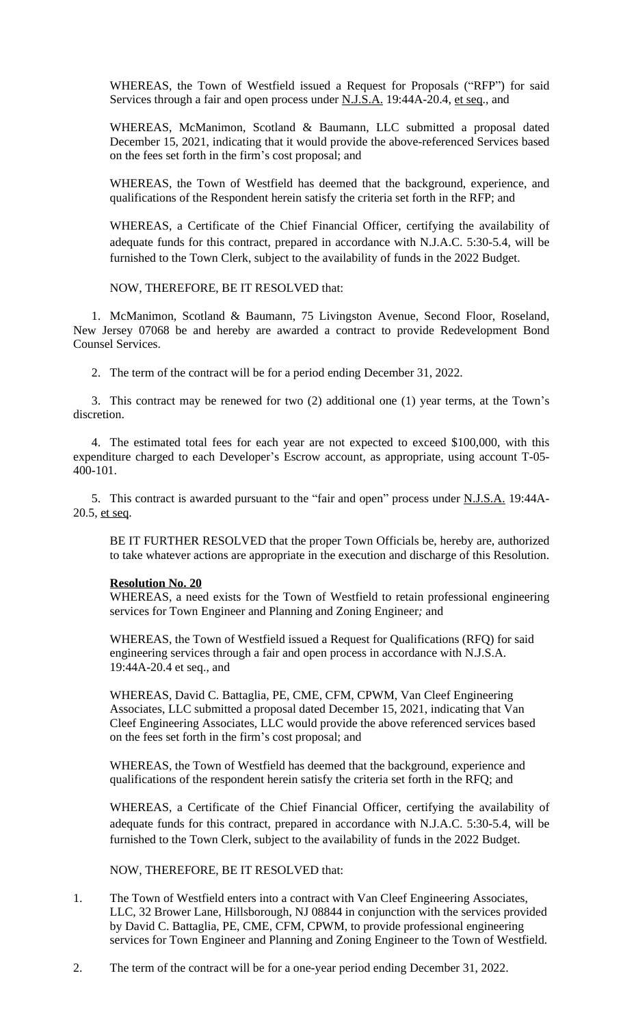WHEREAS, the Town of Westfield issued a Request for Proposals ("RFP") for said Services through a fair and open process under N.J.S.A. 19:44A-20.4, et seq., and

WHEREAS, McManimon, Scotland & Baumann, LLC submitted a proposal dated December 15, 2021, indicating that it would provide the above-referenced Services based on the fees set forth in the firm's cost proposal; and

WHEREAS, the Town of Westfield has deemed that the background, experience, and qualifications of the Respondent herein satisfy the criteria set forth in the RFP; and

WHEREAS, a Certificate of the Chief Financial Officer, certifying the availability of adequate funds for this contract, prepared in accordance with N.J.A.C. 5:30-5.4, will be furnished to the Town Clerk, subject to the availability of funds in the 2022 Budget.

NOW, THEREFORE, BE IT RESOLVED that:

1. McManimon, Scotland & Baumann, 75 Livingston Avenue, Second Floor, Roseland, New Jersey 07068 be and hereby are awarded a contract to provide Redevelopment Bond Counsel Services.

2. The term of the contract will be for a period ending December 31, 2022.

3. This contract may be renewed for two (2) additional one (1) year terms, at the Town's discretion.

4. The estimated total fees for each year are not expected to exceed \$100,000, with this expenditure charged to each Developer's Escrow account, as appropriate, using account T-05- 400-101.

5. This contract is awarded pursuant to the "fair and open" process under N.J.S.A. 19:44A-20.5, et seq.

BE IT FURTHER RESOLVED that the proper Town Officials be, hereby are, authorized to take whatever actions are appropriate in the execution and discharge of this Resolution.

## **Resolution No. 20**

WHEREAS, a need exists for the Town of Westfield to retain professional engineering services for Town Engineer and Planning and Zoning Engineer*;* and

WHEREAS, the Town of Westfield issued a Request for Qualifications (RFQ) for said engineering services through a fair and open process in accordance with N.J.S.A. 19:44A-20.4 et seq., and

WHEREAS, David C. Battaglia, PE, CME, CFM, CPWM, Van Cleef Engineering Associates, LLC submitted a proposal dated December 15, 2021, indicating that Van Cleef Engineering Associates, LLC would provide the above referenced services based on the fees set forth in the firm's cost proposal; and

WHEREAS, the Town of Westfield has deemed that the background, experience and qualifications of the respondent herein satisfy the criteria set forth in the RFQ; and

WHEREAS, a Certificate of the Chief Financial Officer, certifying the availability of adequate funds for this contract, prepared in accordance with N.J.A.C. 5:30-5.4, will be furnished to the Town Clerk, subject to the availability of funds in the 2022 Budget.

NOW, THEREFORE, BE IT RESOLVED that:

- 1. The Town of Westfield enters into a contract with Van Cleef Engineering Associates, LLC, 32 Brower Lane, Hillsborough, NJ 08844 in conjunction with the services provided by David C. Battaglia, PE, CME, CFM, CPWM, to provide professional engineering services for Town Engineer and Planning and Zoning Engineer to the Town of Westfield.
- 2. The term of the contract will be for a one-year period ending December 31, 2022.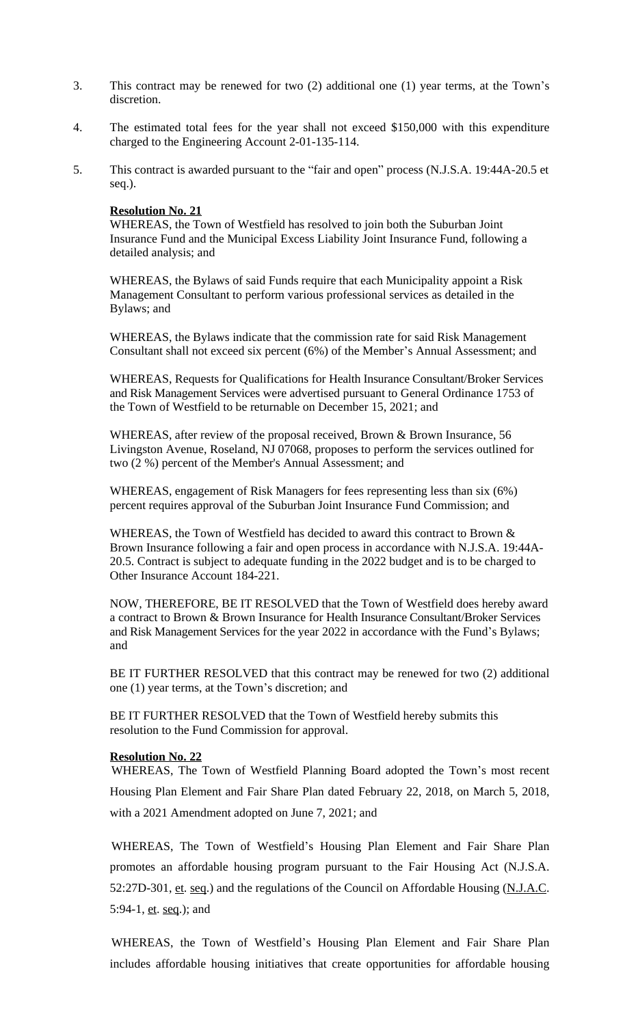- 3. This contract may be renewed for two (2) additional one (1) year terms, at the Town's discretion.
- 4. The estimated total fees for the year shall not exceed \$150,000 with this expenditure charged to the Engineering Account 2-01-135-114.
- 5. This contract is awarded pursuant to the "fair and open" process (N.J.S.A. 19:44A-20.5 et seq.).

#### **Resolution No. 21**

WHEREAS, the Town of Westfield has resolved to join both the Suburban Joint Insurance Fund and the Municipal Excess Liability Joint Insurance Fund, following a detailed analysis; and

WHEREAS, the Bylaws of said Funds require that each Municipality appoint a Risk Management Consultant to perform various professional services as detailed in the Bylaws; and

WHEREAS, the Bylaws indicate that the commission rate for said Risk Management Consultant shall not exceed six percent (6%) of the Member's Annual Assessment; and

WHEREAS, Requests for Qualifications for Health Insurance Consultant/Broker Services and Risk Management Services were advertised pursuant to General Ordinance 1753 of the Town of Westfield to be returnable on December 15, 2021; and

WHEREAS, after review of the proposal received, Brown & Brown Insurance, 56 Livingston Avenue, Roseland, NJ 07068, proposes to perform the services outlined for two (2 %) percent of the Member's Annual Assessment; and

WHEREAS, engagement of Risk Managers for fees representing less than six (6%) percent requires approval of the Suburban Joint Insurance Fund Commission; and

WHEREAS, the Town of Westfield has decided to award this contract to Brown & Brown Insurance following a fair and open process in accordance with N.J.S.A. 19:44A-20.5. Contract is subject to adequate funding in the 2022 budget and is to be charged to Other Insurance Account 184-221.

NOW, THEREFORE, BE IT RESOLVED that the Town of Westfield does hereby award a contract to Brown & Brown Insurance for Health Insurance Consultant/Broker Services and Risk Management Services for the year 2022 in accordance with the Fund's Bylaws; and

BE IT FURTHER RESOLVED that this contract may be renewed for two (2) additional one (1) year terms, at the Town's discretion; and

BE IT FURTHER RESOLVED that the Town of Westfield hereby submits this resolution to the Fund Commission for approval.

#### **Resolution No. 22**

WHEREAS, The Town of Westfield Planning Board adopted the Town's most recent Housing Plan Element and Fair Share Plan dated February 22, 2018, on March 5, 2018, with a 2021 Amendment adopted on June 7, 2021; and

WHEREAS, The Town of Westfield's Housing Plan Element and Fair Share Plan promotes an affordable housing program pursuant to the Fair Housing Act (N.J.S.A. 52:27D-301, et. seq.) and the regulations of the Council on Affordable Housing (N.J.A.C. 5:94-1, et. seq.); and

WHEREAS, the Town of Westfield's Housing Plan Element and Fair Share Plan includes affordable housing initiatives that create opportunities for affordable housing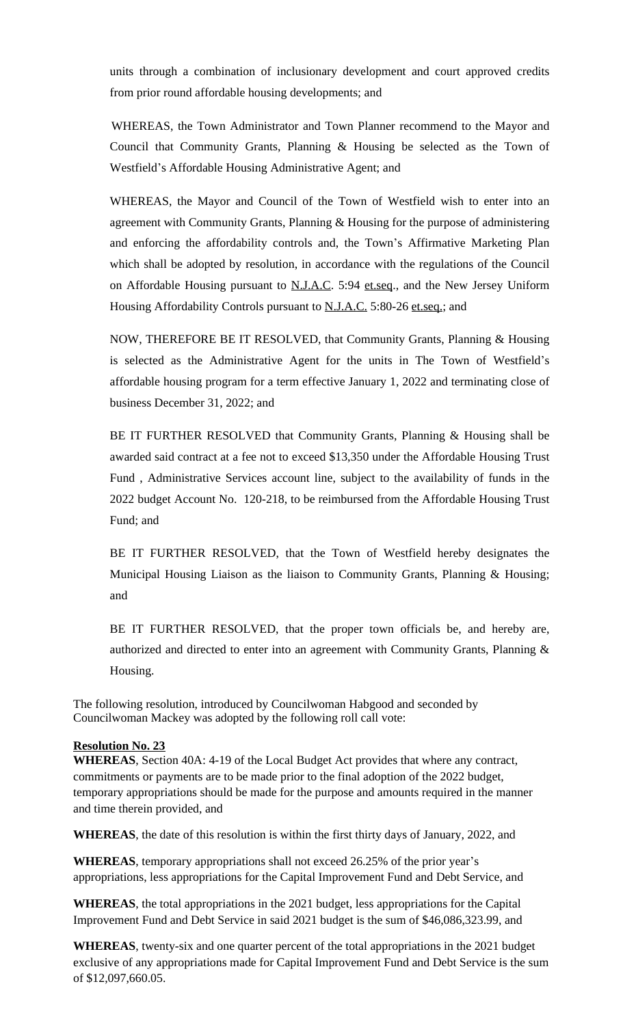units through a combination of inclusionary development and court approved credits from prior round affordable housing developments; and

WHEREAS, the Town Administrator and Town Planner recommend to the Mayor and Council that Community Grants, Planning & Housing be selected as the Town of Westfield's Affordable Housing Administrative Agent; and

WHEREAS, the Mayor and Council of the Town of Westfield wish to enter into an agreement with Community Grants, Planning & Housing for the purpose of administering and enforcing the affordability controls and, the Town's Affirmative Marketing Plan which shall be adopted by resolution, in accordance with the regulations of the Council on Affordable Housing pursuant to N.J.A.C. 5:94 et.seq., and the New Jersey Uniform Housing Affordability Controls pursuant to N.J.A.C. 5:80-26 et.seq.; and

NOW, THEREFORE BE IT RESOLVED, that Community Grants, Planning & Housing is selected as the Administrative Agent for the units in The Town of Westfield's affordable housing program for a term effective January 1, 2022 and terminating close of business December 31, 2022; and

BE IT FURTHER RESOLVED that Community Grants, Planning & Housing shall be awarded said contract at a fee not to exceed \$13,350 under the Affordable Housing Trust Fund , Administrative Services account line, subject to the availability of funds in the 2022 budget Account No. 120-218, to be reimbursed from the Affordable Housing Trust Fund; and

BE IT FURTHER RESOLVED, that the Town of Westfield hereby designates the Municipal Housing Liaison as the liaison to Community Grants, Planning & Housing; and

BE IT FURTHER RESOLVED, that the proper town officials be, and hereby are, authorized and directed to enter into an agreement with Community Grants, Planning & Housing.

The following resolution, introduced by Councilwoman Habgood and seconded by Councilwoman Mackey was adopted by the following roll call vote:

## **Resolution No. 23**

**WHEREAS**, Section 40A: 4-19 of the Local Budget Act provides that where any contract, commitments or payments are to be made prior to the final adoption of the 2022 budget, temporary appropriations should be made for the purpose and amounts required in the manner and time therein provided, and

**WHEREAS**, the date of this resolution is within the first thirty days of January, 2022, and

**WHEREAS**, temporary appropriations shall not exceed 26.25% of the prior year's appropriations, less appropriations for the Capital Improvement Fund and Debt Service, and

**WHEREAS**, the total appropriations in the 2021 budget, less appropriations for the Capital Improvement Fund and Debt Service in said 2021 budget is the sum of \$46,086,323.99, and

**WHEREAS**, twenty-six and one quarter percent of the total appropriations in the 2021 budget exclusive of any appropriations made for Capital Improvement Fund and Debt Service is the sum of \$12,097,660.05.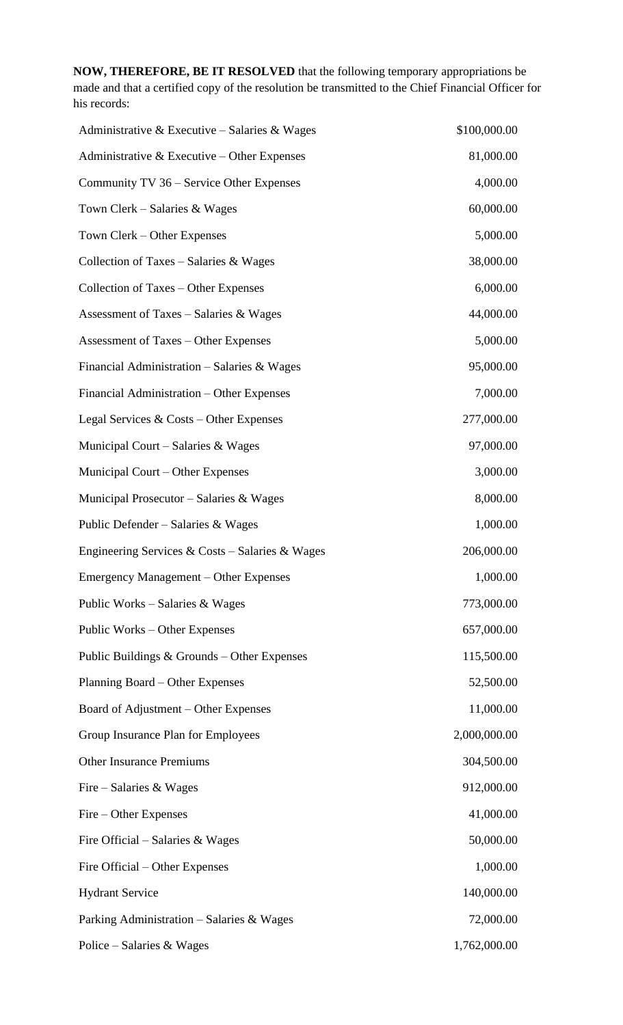**NOW, THEREFORE, BE IT RESOLVED** that the following temporary appropriations be made and that a certified copy of the resolution be transmitted to the Chief Financial Officer for his records:

| Administrative & Executive – Salaries & Wages          | \$100,000.00 |
|--------------------------------------------------------|--------------|
| Administrative $&$ Executive – Other Expenses          | 81,000.00    |
| Community TV 36 – Service Other Expenses               | 4,000.00     |
| Town Clerk – Salaries $&Wages$                         | 60,000.00    |
| Town Clerk – Other Expenses                            | 5,000.00     |
| Collection of Taxes – Salaries & Wages                 | 38,000.00    |
| Collection of Taxes – Other Expenses                   | 6,000.00     |
| Assessment of Taxes – Salaries & Wages                 | 44,000.00    |
| Assessment of Taxes – Other Expenses                   | 5,000.00     |
| Financial Administration $-$ Salaries & Wages          | 95,000.00    |
| Financial Administration - Other Expenses              | 7,000.00     |
| Legal Services $& \text{Costs} - \text{Other Express}$ | 277,000.00   |
| Municipal Court – Salaries $&Wages$                    | 97,000.00    |
| Municipal Court - Other Expenses                       | 3,000.00     |
| Municipal Prosecutor - Salaries & Wages                | 8,000.00     |
| Public Defender - Salaries & Wages                     | 1,000.00     |
| Engineering Services & Costs - Salaries & Wages        | 206,000.00   |
| Emergency Management – Other Expenses                  | 1,000.00     |
| Public Works – Salaries & Wages                        | 773,000.00   |
| Public Works – Other Expenses                          | 657,000.00   |
| Public Buildings $&$ Grounds – Other Expenses          | 115,500.00   |
| Planning Board – Other Expenses                        | 52,500.00    |
| Board of Adjustment – Other Expenses                   | 11,000.00    |
| Group Insurance Plan for Employees                     | 2,000,000.00 |
| <b>Other Insurance Premiums</b>                        | 304,500.00   |
| Fire – Salaries & Wages                                | 912,000.00   |
| Fire – Other Expenses                                  | 41,000.00    |
| Fire Official – Salaries $&Wages$                      | 50,000.00    |
| Fire Official – Other Expenses                         | 1,000.00     |
| <b>Hydrant Service</b>                                 | 140,000.00   |
| Parking Administration – Salaries & Wages              | 72,000.00    |
| Police – Salaries & Wages                              | 1,762,000.00 |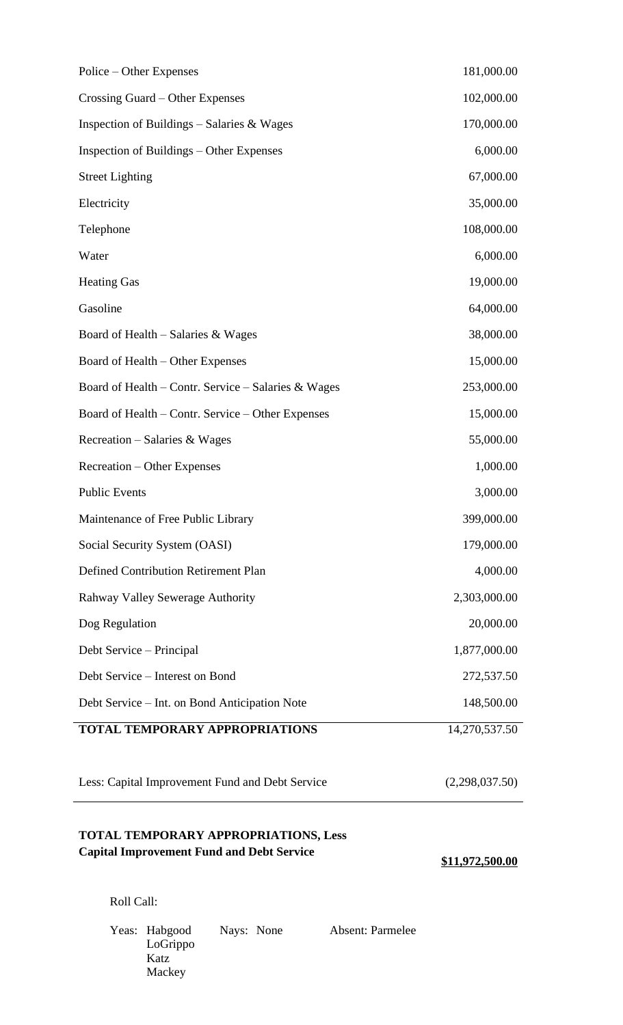| Police – Other Expenses                                                                                       | 181,000.00             |
|---------------------------------------------------------------------------------------------------------------|------------------------|
| Crossing Guard – Other Expenses                                                                               | 102,000.00             |
| Inspection of Buildings $-$ Salaries & Wages                                                                  | 170,000.00             |
| Inspection of Buildings – Other Expenses                                                                      | 6,000.00               |
| <b>Street Lighting</b>                                                                                        | 67,000.00              |
| Electricity                                                                                                   | 35,000.00              |
| Telephone                                                                                                     | 108,000.00             |
| Water                                                                                                         | 6,000.00               |
| <b>Heating Gas</b>                                                                                            | 19,000.00              |
| Gasoline                                                                                                      | 64,000.00              |
| Board of Health – Salaries & Wages                                                                            | 38,000.00              |
| Board of Health – Other Expenses                                                                              | 15,000.00              |
| Board of Health – Contr. Service – Salaries & Wages                                                           | 253,000.00             |
| Board of Health - Contr. Service - Other Expenses                                                             | 15,000.00              |
| Recreation – Salaries & Wages                                                                                 | 55,000.00              |
| Recreation – Other Expenses                                                                                   | 1,000.00               |
| <b>Public Events</b>                                                                                          | 3,000.00               |
| Maintenance of Free Public Library                                                                            | 399,000.00             |
| Social Security System (OASI)                                                                                 | 179,000.00             |
| <b>Defined Contribution Retirement Plan</b>                                                                   | 4,000.00               |
| Rahway Valley Sewerage Authority                                                                              | 2,303,000.00           |
| Dog Regulation                                                                                                | 20,000.00              |
| Debt Service – Principal                                                                                      | 1,877,000.00           |
| Debt Service – Interest on Bond                                                                               | 272,537.50             |
| Debt Service – Int. on Bond Anticipation Note                                                                 | 148,500.00             |
| <b>TOTAL TEMPORARY APPROPRIATIONS</b>                                                                         | 14,270,537.50          |
|                                                                                                               |                        |
| Less: Capital Improvement Fund and Debt Service                                                               | (2,298,037.50)         |
| <b>TOTAL TEMPORARY APPROPRIATIONS, Less</b><br><b>Capital Improvement Fund and Debt Service</b><br>Roll Call: | <u>\$11,972,500.00</u> |

Nays: None Absent: Parmelee LoGrippo Katz Mackey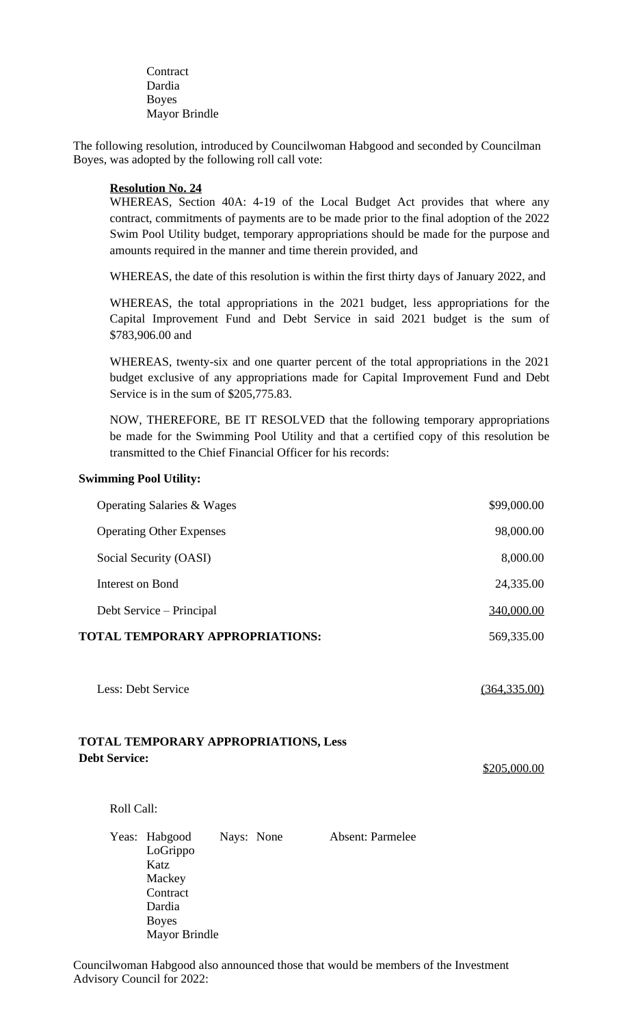**Contract** Dardia Boyes Mayor Brindle

The following resolution, introduced by Councilwoman Habgood and seconded by Councilman Boyes, was adopted by the following roll call vote:

#### **Resolution No. 24**

WHEREAS, Section 40A: 4-19 of the Local Budget Act provides that where any contract, commitments of payments are to be made prior to the final adoption of the 2022 Swim Pool Utility budget, temporary appropriations should be made for the purpose and amounts required in the manner and time therein provided, and

WHEREAS, the date of this resolution is within the first thirty days of January 2022, and

WHEREAS, the total appropriations in the 2021 budget, less appropriations for the Capital Improvement Fund and Debt Service in said 2021 budget is the sum of \$783,906.00 and

WHEREAS, twenty-six and one quarter percent of the total appropriations in the 2021 budget exclusive of any appropriations made for Capital Improvement Fund and Debt Service is in the sum of \$205,775.83.

NOW, THEREFORE, BE IT RESOLVED that the following temporary appropriations be made for the Swimming Pool Utility and that a certified copy of this resolution be transmitted to the Chief Financial Officer for his records:

#### **Swimming Pool Utility:**

| <b>Operating Salaries &amp; Wages</b> | \$99,000.00 |
|---------------------------------------|-------------|
| <b>Operating Other Expenses</b>       | 98,000.00   |
| Social Security (OASI)                | 8,000.00    |
| Interest on Bond                      | 24,335.00   |
| Debt Service – Principal              | 340,000.00  |
| TOTAL TEMPORARY APPROPRIATIONS:       | 569,335.00  |
|                                       |             |

Less: Debt Service (364,335.00)

# **TOTAL TEMPORARY APPROPRIATIONS, Less Debt Service:**

\$205,000.00

Roll Call:

| Yeas: Habgood<br>LoGrippo<br>Katz<br>Mackey<br>Contract<br>Dardia<br><b>Boyes</b> | Nays: None | <b>Absent: Parmelee</b> |
|-----------------------------------------------------------------------------------|------------|-------------------------|
| <b>Mayor Brindle</b>                                                              |            |                         |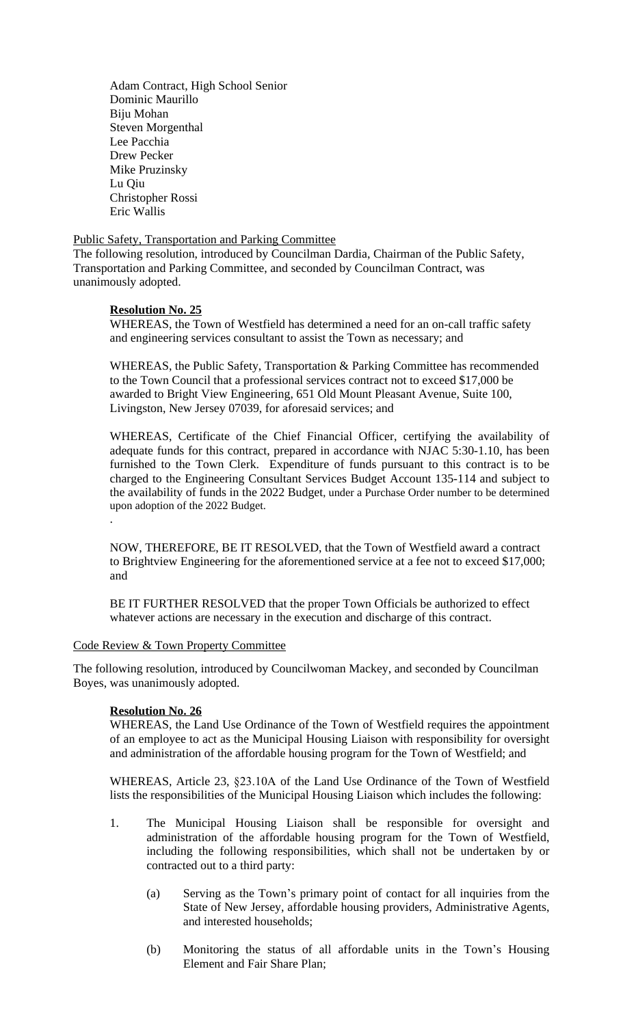Adam Contract, High School Senior Dominic Maurillo Biju Mohan Steven Morgenthal Lee Pacchia Drew Pecker Mike Pruzinsky Lu Qiu Christopher Rossi Eric Wallis

## Public Safety, Transportation and Parking Committee

The following resolution, introduced by Councilman Dardia, Chairman of the Public Safety, Transportation and Parking Committee, and seconded by Councilman Contract, was unanimously adopted.

## **Resolution No. 25**

WHEREAS, the Town of Westfield has determined a need for an on-call traffic safety and engineering services consultant to assist the Town as necessary; and

WHEREAS, the Public Safety, Transportation & Parking Committee has recommended to the Town Council that a professional services contract not to exceed \$17,000 be awarded to Bright View Engineering, 651 Old Mount Pleasant Avenue, Suite 100, Livingston, New Jersey 07039, for aforesaid services; and

WHEREAS, Certificate of the Chief Financial Officer, certifying the availability of adequate funds for this contract, prepared in accordance with NJAC 5:30-1.10, has been furnished to the Town Clerk. Expenditure of funds pursuant to this contract is to be charged to the Engineering Consultant Services Budget Account 135-114 and subject to the availability of funds in the 2022 Budget, under a Purchase Order number to be determined upon adoption of the 2022 Budget.

NOW, THEREFORE, BE IT RESOLVED, that the Town of Westfield award a contract to Brightview Engineering for the aforementioned service at a fee not to exceed \$17,000; and

BE IT FURTHER RESOLVED that the proper Town Officials be authorized to effect whatever actions are necessary in the execution and discharge of this contract.

#### Code Review & Town Property Committee

The following resolution, introduced by Councilwoman Mackey, and seconded by Councilman Boyes, was unanimously adopted.

## **Resolution No. 26**

.

WHEREAS, the Land Use Ordinance of the Town of Westfield requires the appointment of an employee to act as the Municipal Housing Liaison with responsibility for oversight and administration of the affordable housing program for the Town of Westfield; and

WHEREAS, Article 23, §23.10A of the Land Use Ordinance of the Town of Westfield lists the responsibilities of the Municipal Housing Liaison which includes the following:

- 1. The Municipal Housing Liaison shall be responsible for oversight and administration of the affordable housing program for the Town of Westfield, including the following responsibilities, which shall not be undertaken by or contracted out to a third party:
	- (a) Serving as the Town's primary point of contact for all inquiries from the State of New Jersey, affordable housing providers, Administrative Agents, and interested households;
	- (b) Monitoring the status of all affordable units in the Town's Housing Element and Fair Share Plan;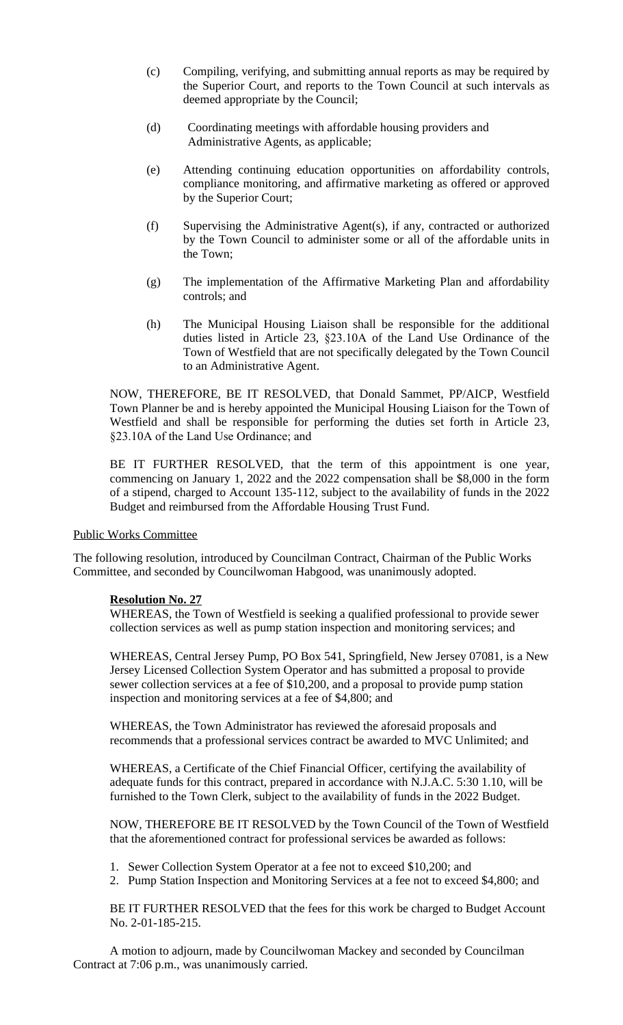- (c) Compiling, verifying, and submitting annual reports as may be required by the Superior Court, and reports to the Town Council at such intervals as deemed appropriate by the Council;
- (d) Coordinating meetings with affordable housing providers and Administrative Agents, as applicable;
- (e) Attending continuing education opportunities on affordability controls, compliance monitoring, and affirmative marketing as offered or approved by the Superior Court;
- (f) Supervising the Administrative Agent(s), if any, contracted or authorized by the Town Council to administer some or all of the affordable units in the Town;
- (g) The implementation of the Affirmative Marketing Plan and affordability controls; and
- (h) The Municipal Housing Liaison shall be responsible for the additional duties listed in Article 23, §23.10A of the Land Use Ordinance of the Town of Westfield that are not specifically delegated by the Town Council to an Administrative Agent.

NOW, THEREFORE, BE IT RESOLVED, that Donald Sammet, PP/AICP, Westfield Town Planner be and is hereby appointed the Municipal Housing Liaison for the Town of Westfield and shall be responsible for performing the duties set forth in Article 23, §23.10A of the Land Use Ordinance; and

BE IT FURTHER RESOLVED, that the term of this appointment is one year, commencing on January 1, 2022 and the 2022 compensation shall be \$8,000 in the form of a stipend, charged to Account 135-112, subject to the availability of funds in the 2022 Budget and reimbursed from the Affordable Housing Trust Fund.

## Public Works Committee

The following resolution, introduced by Councilman Contract, Chairman of the Public Works Committee, and seconded by Councilwoman Habgood, was unanimously adopted.

## **Resolution No. 27**

WHEREAS, the Town of Westfield is seeking a qualified professional to provide sewer collection services as well as pump station inspection and monitoring services; and

WHEREAS, Central Jersey Pump, PO Box 541, Springfield, New Jersey 07081, is a New Jersey Licensed Collection System Operator and has submitted a proposal to provide sewer collection services at a fee of \$10,200, and a proposal to provide pump station inspection and monitoring services at a fee of \$4,800; and

WHEREAS, the Town Administrator has reviewed the aforesaid proposals and recommends that a professional services contract be awarded to MVC Unlimited; and

WHEREAS, a Certificate of the Chief Financial Officer, certifying the availability of adequate funds for this contract, prepared in accordance with N.J.A.C. 5:30 1.10, will be furnished to the Town Clerk, subject to the availability of funds in the 2022 Budget.

NOW, THEREFORE BE IT RESOLVED by the Town Council of the Town of Westfield that the aforementioned contract for professional services be awarded as follows:

- 1. Sewer Collection System Operator at a fee not to exceed \$10,200; and
- 2. Pump Station Inspection and Monitoring Services at a fee not to exceed \$4,800; and

BE IT FURTHER RESOLVED that the fees for this work be charged to Budget Account No. 2-01-185-215.

A motion to adjourn, made by Councilwoman Mackey and seconded by Councilman Contract at 7:06 p.m., was unanimously carried.